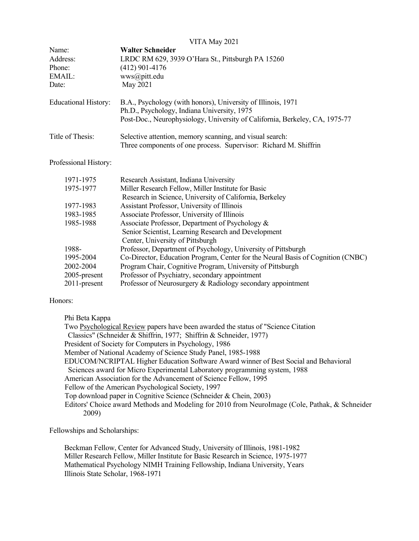|                             | VITA May 2021                                                                                                                                                                              |
|-----------------------------|--------------------------------------------------------------------------------------------------------------------------------------------------------------------------------------------|
| Name:                       | <b>Walter Schneider</b>                                                                                                                                                                    |
| Address:                    | LRDC RM 629, 3939 O'Hara St., Pittsburgh PA 15260                                                                                                                                          |
| Phone:                      | $(412)$ 901-4176                                                                                                                                                                           |
| EMAIL:                      | wws@pitt.edu                                                                                                                                                                               |
| Date:                       | May 2021                                                                                                                                                                                   |
| <b>Educational History:</b> | B.A., Psychology (with honors), University of Illinois, 1971<br>Ph.D., Psychology, Indiana University, 1975<br>Post-Doc., Neurophysiology, University of California, Berkeley, CA, 1975-77 |
| Title of Thesis:            | Selective attention, memory scanning, and visual search:<br>Three components of one process. Supervisor: Richard M. Shiffrin                                                               |

Professional History:

| Research Assistant, Indiana University                                          |
|---------------------------------------------------------------------------------|
| Miller Research Fellow, Miller Institute for Basic                              |
| Research in Science, University of California, Berkeley                         |
| Assistant Professor, University of Illinois                                     |
| Associate Professor, University of Illinois                                     |
| Associate Professor, Department of Psychology &                                 |
| Senior Scientist, Learning Research and Development                             |
| Center, University of Pittsburgh                                                |
| Professor, Department of Psychology, University of Pittsburgh                   |
| Co-Director, Education Program, Center for the Neural Basis of Cognition (CNBC) |
| Program Chair, Cognitive Program, University of Pittsburgh                      |
| Professor of Psychiatry, secondary appointment                                  |
| Professor of Neurosurgery & Radiology secondary appointment                     |
|                                                                                 |

# Honors:

Phi Beta Kappa

Two Psychological Review papers have been awarded the status of "Science Citation Classics" (Schneider & Shiffrin, 1977; Shiffrin & Schneider, 1977) President of Society for Computers in Psychology, 1986 Member of National Academy of Science Study Panel, 1985-1988 EDUCOM/NCRIPTAL Higher Education Software Award winner of Best Social and Behavioral Sciences award for Micro Experimental Laboratory programming system, 1988 American Association for the Advancement of Science Fellow, 1995 Fellow of the American Psychological Society, 1997 Top download paper in Cognitive Science (Schneider & Chein, 2003) Editors' Choice award Methods and Modeling for 2010 from NeuroImage (Cole, Pathak, & Schneider 2009)

Fellowships and Scholarships:

Beckman Fellow, Center for Advanced Study, University of Illinois, 1981-1982 Miller Research Fellow, Miller Institute for Basic Research in Science, 1975-1977 Mathematical Psychology NIMH Training Fellowship, Indiana University, Years Illinois State Scholar, 1968-1971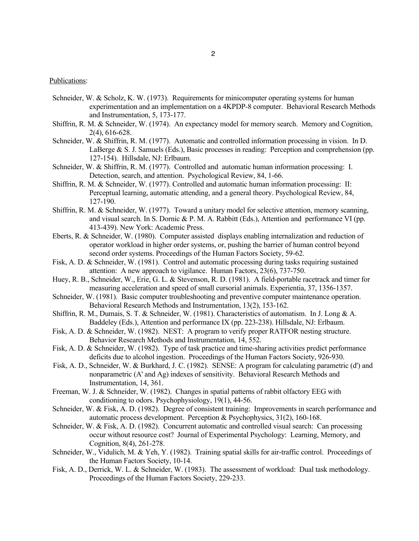## Publications:

- Schneider, W. & Scholz, K. W. (1973). Requirements for minicomputer operating systems for human experimentation and an implementation on a 4KPDP-8 computer. Behavioral Research Methods and Instrumentation, 5, 173-177.
- Shiffrin, R. M. & Schneider, W. (1974). An expectancy model for memory search. Memory and Cognition, 2(4), 616-628.
- Schneider, W. & Shiffrin, R. M. (1977). Automatic and controlled information processing in vision. In D. LaBerge & S. J. Samuels (Eds.), Basic processes in reading: Perception and comprehension (pp. 127-154). Hillsdale, NJ: Erlbaum.
- Schneider, W. & Shiffrin, R. M. (1977). Controlled and automatic human information processing: I. Detection, search, and attention. Psychological Review, 84, 1-66.
- Shiffrin, R. M. & Schneider, W. (1977). Controlled and automatic human information processing: II: Perceptual learning, automatic attending, and a general theory. Psychological Review, 84, 127-190.
- Shiffrin, R. M. & Schneider, W. (1977). Toward a unitary model for selective attention, memory scanning, and visual search. In S. Dornic & P. M. A. Rabbitt (Eds.), Attention and performance VI (pp. 413-439). New York: Academic Press.
- Eberts, R. & Schneider, W. (1980). Computer assisted displays enabling internalization and reduction of operator workload in higher order systems, or, pushing the barrier of human control beyond second order systems. Proceedings of the Human Factors Society, 59-62.
- Fisk, A. D. & Schneider, W. (1981). Control and automatic processing during tasks requiring sustained attention: A new approach to vigilance. Human Factors, 23(6), 737-750.
- Huey, R. B., Schneider, W., Erie, G. L. & Stevenson, R. D. (1981). A field-portable racetrack and timer for measuring acceleration and speed of small cursorial animals. Experientia, 37, 1356-1357.
- Schneider, W. (1981). Basic computer troubleshooting and preventive computer maintenance operation. Behavioral Research Methods and Instrumentation, 13(2), 153-162.
- Shiffrin, R. M., Dumais, S. T. & Schneider, W. (1981). Characteristics of automatism. In J. Long & A. Baddeley (Eds.), Attention and performance IX (pp. 223-238). Hillsdale, NJ: Erlbaum.
- Fisk, A. D. & Schneider, W. (1982). NEST: A program to verify proper RATFOR nesting structure. Behavior Research Methods and Instrumentation, 14, 552.
- Fisk, A. D. & Schneider, W. (1982). Type of task practice and time-sharing activities predict performance deficits due to alcohol ingestion. Proceedings of the Human Factors Society, 926-930.
- Fisk, A. D., Schneider, W. & Burkhard, J. C. (1982). SENSE: A program for calculating parametric (d') and nonparametric (A' and Ag) indexes of sensitivity. Behavioral Research Methods and Instrumentation, 14, 361.
- Freeman, W. J. & Schneider, W. (1982). Changes in spatial patterns of rabbit olfactory EEG with conditioning to odors. Psychophysiology, 19(1), 44-56.
- Schneider, W. & Fisk, A. D. (1982). Degree of consistent training: Improvements in search performance and automatic process development. Perception & Psychophysics, 31(2), 160-168.
- Schneider, W. & Fisk, A. D. (1982). Concurrent automatic and controlled visual search: Can processing occur without resource cost? Journal of Experimental Psychology: Learning, Memory, and Cognition, 8(4), 261-278.
- Schneider, W., Vidulich, M. & Yeh, Y. (1982). Training spatial skills for air-traffic control. Proceedings of the Human Factors Society, 10-14.
- Fisk, A. D., Derrick, W. L. & Schneider, W. (1983). The assessment of workload: Dual task methodology. Proceedings of the Human Factors Society, 229-233.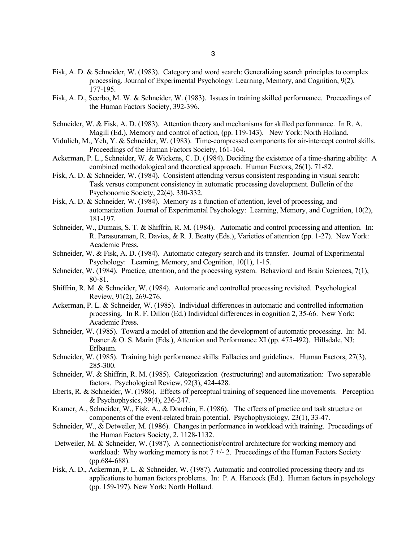- Fisk, A. D. & Schneider, W. (1983). Category and word search: Generalizing search principles to complex processing. Journal of Experimental Psychology: Learning, Memory, and Cognition, 9(2), 177-195.
- Fisk, A. D., Scerbo, M. W. & Schneider, W. (1983). Issues in training skilled performance. Proceedings of the Human Factors Society, 392-396.
- Schneider, W. & Fisk, A. D. (1983). Attention theory and mechanisms for skilled performance. In R. A. Magill (Ed.), Memory and control of action, (pp. 119-143). New York: North Holland.
- Vidulich, M., Yeh, Y. & Schneider, W. (1983). Time-compressed components for air-intercept control skills. Proceedings of the Human Factors Society, 161-164.
- Ackerman, P. L., Schneider, W. & Wickens, C. D. (1984). Deciding the existence of a time-sharing ability: A combined methodological and theoretical approach. Human Factors, 26(1), 71-82.
- Fisk, A. D. & Schneider, W. (1984). Consistent attending versus consistent responding in visual search: Task versus component consistency in automatic processing development. Bulletin of the Psychonomic Society, 22(4), 330-332.
- Fisk, A. D. & Schneider, W. (1984). Memory as a function of attention, level of processing, and automatization. Journal of Experimental Psychology: Learning, Memory, and Cognition, 10(2), 181-197.
- Schneider, W., Dumais, S. T. & Shiffrin, R. M. (1984). Automatic and control processing and attention. In: R. Parasuraman, R. Davies, & R. J. Beatty (Eds.), Varieties of attention (pp. 1-27). New York: Academic Press.
- Schneider, W. & Fisk, A. D. (1984). Automatic category search and its transfer. Journal of Experimental Psychology: Learning, Memory, and Cognition, 10(1), 1-15.
- Schneider, W. (1984). Practice, attention, and the processing system. Behavioral and Brain Sciences, 7(1), 80-81.
- Shiffrin, R. M. & Schneider, W. (1984). Automatic and controlled processing revisited. Psychological Review, 91(2), 269-276.
- Ackerman, P. L. & Schneider, W. (1985). Individual differences in automatic and controlled information processing. In R. F. Dillon (Ed.) Individual differences in cognition 2, 35-66. New York: Academic Press.
- Schneider, W. (1985). Toward a model of attention and the development of automatic processing. In: M. Posner & O. S. Marin (Eds.), Attention and Performance XI (pp. 475-492). Hillsdale, NJ: Erlbaum.
- Schneider, W. (1985). Training high performance skills: Fallacies and guidelines. Human Factors, 27(3), 285-300.
- Schneider, W. & Shiffrin, R. M. (1985). Categorization (restructuring) and automatization: Two separable factors. Psychological Review, 92(3), 424-428.
- Eberts, R. & Schneider, W. (1986). Effects of perceptual training of sequenced line movements. Perception & Psychophysics, 39(4), 236-247.
- Kramer, A., Schneider, W., Fisk, A., & Donchin, E. (1986). The effects of practice and task structure on components of the event-related brain potential. Psychophysiology, 23(1), 33-47.
- Schneider, W., & Detweiler, M. (1986). Changes in performance in workload with training. Proceedings of the Human Factors Society, 2, 1128-1132.
- Detweiler, M. & Schneider, W. (1987). A connectionist/control architecture for working memory and workload: Why working memory is not  $7 + 2$ . Proceedings of the Human Factors Society (pp.684-688).
- Fisk, A. D., Ackerman, P. L. & Schneider, W. (1987). Automatic and controlled processing theory and its applications to human factors problems. In: P. A. Hancock (Ed.). Human factors in psychology (pp. 159-197). New York: North Holland.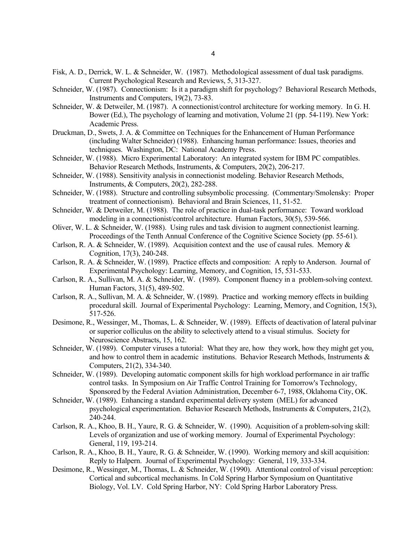- Fisk, A. D., Derrick, W. L. & Schneider, W. (1987). Methodological assessment of dual task paradigms. Current Psychological Research and Reviews, 5, 313-327.
- Schneider, W. (1987). Connectionism: Is it a paradigm shift for psychology? Behavioral Research Methods, Instruments and Computers, 19(2), 73-83.
- Schneider, W. & Detweiler, M. (1987). A connectionist/control architecture for working memory. In G. H. Bower (Ed.), The psychology of learning and motivation, Volume 21 (pp. 54-119). New York: Academic Press.
- Druckman, D., Swets, J. A. & Committee on Techniques for the Enhancement of Human Performance (including Walter Schneider) (1988). Enhancing human performance: Issues, theories and techniques. Washington, DC: National Academy Press.
- Schneider, W. (1988). Micro Experimental Laboratory: An integrated system for IBM PC compatibles. Behavior Research Methods, Instruments, & Computers, 20(2), 206-217.
- Schneider, W. (1988). Sensitivity analysis in connectionist modeling. Behavior Research Methods, Instruments, & Computers, 20(2), 282-288.
- Schneider, W. (1988). Structure and controlling subsymbolic processing. (Commentary/Smolensky: Proper treatment of connectionism). Behavioral and Brain Sciences, 11, 51-52.
- Schneider, W. & Detweiler, M. (1988). The role of practice in dual-task performance: Toward workload modeling in a connectionist/control architecture. Human Factors, 30(5), 539-566.
- Oliver, W. L. & Schneider, W. (1988). Using rules and task division to augment connectionist learning. Proceedings of the Tenth Annual Conference of the Cognitive Science Society (pp. 55-61).
- Carlson, R. A. & Schneider, W. (1989). Acquisition context and the use of causal rules. Memory & Cognition, 17(3), 240-248.
- Carlson, R. A. & Schneider, W. (1989). Practice effects and composition: A reply to Anderson. Journal of Experimental Psychology: Learning, Memory, and Cognition, 15, 531-533.
- Carlson, R. A., Sullivan, M. A. & Schneider, W. (1989). Component fluency in a problem-solving context. Human Factors, 31(5), 489-502.
- Carlson, R. A., Sullivan, M. A. & Schneider, W. (1989). Practice and working memory effects in building procedural skill. Journal of Experimental Psychology: Learning, Memory, and Cognition, 15(3), 517-526.
- Desimone, R., Wessinger, M., Thomas, L. & Schneider, W. (1989). Effects of deactivation of lateral pulvinar or superior colliculus on the ability to selectively attend to a visual stimulus. Society for Neuroscience Abstracts, 15, 162.
- Schneider, W. (1989). Computer viruses a tutorial: What they are, how they work, how they might get you, and how to control them in academic institutions. Behavior Research Methods, Instruments & Computers, 21(2), 334-340.
- Schneider, W. (1989). Developing automatic component skills for high workload performance in air traffic control tasks. In Symposium on Air Traffic Control Training for Tomorrow's Technology, Sponsored by the Federal Aviation Administration, December 6-7, 1988, Oklahoma City, OK.
- Schneider, W. (1989). Enhancing a standard experimental delivery system (MEL) for advanced psychological experimentation. Behavior Research Methods, Instruments & Computers, 21(2), 240-244.
- Carlson, R. A., Khoo, B. H., Yaure, R. G. & Schneider, W. (1990). Acquisition of a problem-solving skill: Levels of organization and use of working memory. Journal of Experimental Psychology: General, 119, 193-214.
- Carlson, R. A., Khoo, B. H., Yaure, R. G. & Schneider, W. (1990). Working memory and skill acquisition: Reply to Halpern. Journal of Experimental Psychology: General, 119, 333-334.
- Desimone, R., Wessinger, M., Thomas, L. & Schneider, W. (1990). Attentional control of visual perception: Cortical and subcortical mechanisms. In Cold Spring Harbor Symposium on Quantitative Biology, Vol. LV. Cold Spring Harbor, NY: Cold Spring Harbor Laboratory Press.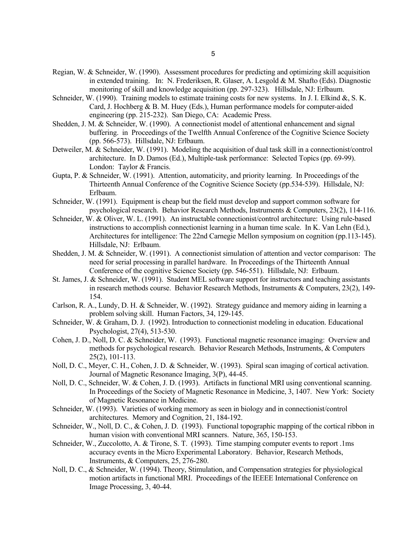- Regian, W. & Schneider, W. (1990). Assessment procedures for predicting and optimizing skill acquisition in extended training. In: N. Frederiksen, R. Glaser, A. Lesgold & M. Shafto (Eds). Diagnostic monitoring of skill and knowledge acquisition (pp. 297-323). Hillsdale, NJ: Erlbaum.
- Schneider, W. (1990). Training models to estimate training costs for new systems. In J. I. Elkind &, S. K. Card, J. Hochberg & B. M. Huey (Eds.), Human performance models for computer-aided engineering (pp. 215-232). San Diego, CA: Academic Press.
- Shedden, J. M. & Schneider, W. (1990). A connectionist model of attentional enhancement and signal buffering. in Proceedings of the Twelfth Annual Conference of the Cognitive Science Society (pp. 566-573). Hillsdale, NJ: Erlbaum.
- Detweiler, M. & Schneider, W. (1991). Modeling the acquisition of dual task skill in a connectionist/control architecture. In D. Damos (Ed.), Multiple-task performance: Selected Topics (pp. 69-99). London: Taylor & Francis.
- Gupta, P. & Schneider, W. (1991). Attention, automaticity, and priority learning. In Proceedings of the Thirteenth Annual Conference of the Cognitive Science Society (pp.534-539). Hillsdale, NJ: Erlbaum.
- Schneider, W. (1991). Equipment is cheap but the field must develop and support common software for psychological research. Behavior Research Methods, Instruments & Computers, 23(2), 114-116.
- Schneider, W. & Oliver, W. L. (1991). An instructable connectionist/control architecture: Using rule-based instructions to accomplish connectionist learning in a human time scale. In K. Van Lehn (Ed.), Architectures for intelligence: The 22nd Carnegie Mellon symposium on cognition (pp.113-145). Hillsdale, NJ: Erlbaum.
- Shedden, J. M. & Schneider, W. (1991). A connectionist simulation of attention and vector comparison: The need for serial processing in parallel hardware. In Proceedings of the Thirteenth Annual Conference of the cognitive Science Society (pp. 546-551). Hillsdale, NJ: Erlbaum.
- St. James, J. & Schneider, W. (1991). Student MEL software support for instructors and teaching assistants in research methods course. Behavior Research Methods, Instruments & Computers, 23(2), 149- 154.
- Carlson, R. A., Lundy, D. H. & Schneider, W. (1992). Strategy guidance and memory aiding in learning a problem solving skill. Human Factors, 34, 129-145.
- Schneider, W. & Graham, D. J. (1992). Introduction to connectionist modeling in education. Educational Psychologist, 27(4), 513-530.
- Cohen, J. D., Noll, D. C. & Schneider, W. (1993). Functional magnetic resonance imaging: Overview and methods for psychological research. Behavior Research Methods, Instruments, & Computers 25(2), 101-113.
- Noll, D. C., Meyer, C. H., Cohen, J. D. & Schneider, W. (1993). Spiral scan imaging of cortical activation. Journal of Magnetic Resonance Imaging, 3(P), 44-45.
- Noll, D. C., Schneider, W. & Cohen, J. D. (1993). Artifacts in functional MRI using conventional scanning. In Proceedings of the Society of Magnetic Resonance in Medicine, 3, 1407. New York: Society of Magnetic Resonance in Medicine.
- Schneider, W. (1993). Varieties of working memory as seen in biology and in connectionist/control architectures. Memory and Cognition, 21, 184-192.
- Schneider, W., Noll, D. C., & Cohen, J. D. (1993). Functional topographic mapping of the cortical ribbon in human vision with conventional MRI scanners. Nature, 365, 150-153.
- Schneider, W., Zuccolotto, A. & Tirone, S. T. (1993). Time stamping computer events to report .1ms accuracy events in the Micro Experimental Laboratory. Behavior, Research Methods, Instruments, & Computers, 25, 276-280.
- Noll, D. C., & Schneider, W. (1994). Theory, Stimulation, and Compensation strategies for physiological motion artifacts in functional MRI. Proceedings of the IEEEE International Conference on Image Processing, 3, 40-44.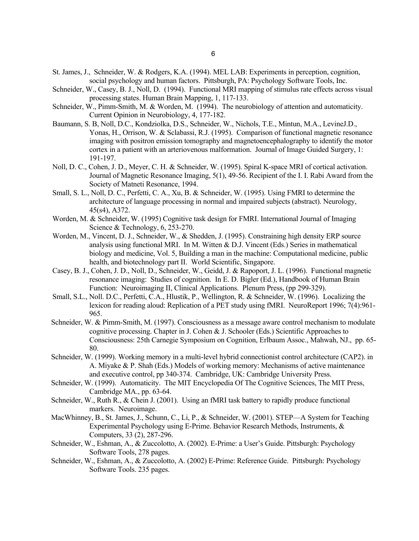- St. James, J., Schneider, W. & Rodgers, K.A. (1994). MEL LAB: Experiments in perception, cognition, social psychology and human factors. Pittsburgh, PA: Psychology Software Tools, Inc.
- Schneider, W., Casey, B. J., Noll, D. (1994). Functional MRI mapping of stimulus rate effects across visual processing states. Human Brain Mapping, 1, 117-133.
- Schneider, W., Pimm-Smith, M. & Worden, M. (1994). The neurobiology of attention and automaticity. Current Opinion in Neurobiology, 4, 177-182.
- Baumann, S. B, Noll, D.C., Kondziolka, D.S., Schneider, W., Nichols, T.E., Mintun, M.A., LevineJ.D., Yonas, H., Orrison, W. & Sclabassi, R.J. (1995). Comparison of functional magnetic resonance imaging with positron emission tomography and magnetoencephalography to identify the motor cortex in a patient with an arteriovenous malformation. Journal of Image Guided Surgery, 1: 191-197.
- Noll, D. C., Cohen, J. D., Meyer, C. H. & Schneider, W. (1995). Spiral K-space MRI of cortical activation. Journal of Magnetic Resonance Imaging, 5(1), 49-56. Recipient of the I. I. Rabi Award from the Society of Matneti Resonance, 1994.
- Small, S. L., Noll, D. C., Perfetti, C. A., Xu, B. & Schneider, W. (1995). Using FMRI to determine the architecture of language processing in normal and impaired subjects (abstract). Neurology, 45(s4), A372.
- Worden, M. & Schneider, W. (1995) Cognitive task design for FMRI. International Journal of Imaging Science & Technology, 6, 253-270.
- Worden, M., Vincent, D. J., Schneider, W., & Shedden, J. (1995). Constraining high density ERP source analysis using functional MRI. In M. Witten & D.J. Vincent (Eds.) Series in mathematical biology and medicine, Vol. 5, Building a man in the machine: Computational medicine, public health, and biotechnology part II. World Scientific, Singapore.
- Casey, B. J., Cohen, J. D., Noll, D., Schneider, W., Geidd, J. & Rapoport, J. L. (1996). Functional magnetic resonance imaging: Studies of cognition. In E. D. Bigler (Ed.), Handbook of Human Brain Function: Neuroimaging II, Clinical Applications. Plenum Press, (pp 299-329).
- Small, S.L., Noll. D.C., Perfetti, C.A., Hlustik, P., Wellington, R. & Schneider, W. (1996). Localizing the lexicon for reading aloud: Replication of a PET study using fMRI. NeuroReport 1996; 7(4):961- 965.
- Schneider, W. & Pimm-Smith, M. (1997). Consciousness as a message aware control mechanism to modulate cognitive processing. Chapter in J. Cohen & J. Schooler (Eds.) Scientific Approaches to Consciousness: 25th Carnegie Symposium on Cognition, Erlbaum Assoc., Mahwah, NJ., pp. 65- 80.
- Schneider, W. (1999). Working memory in a multi-level hybrid connectionist control architecture (CAP2). in A. Miyake & P. Shah (Eds.) Models of working memory: Mechanisms of active maintenance and executive control, pp 340-374. Cambridge, UK: Cambridge University Press.
- Schneider, W. (1999). Automaticity. The MIT Encyclopedia Of The Cognitive Sciences, The MIT Press, Cambridge MA., pp. 63-64.
- Schneider, W., Ruth R., & Chein J. (2001). Using an fMRI task battery to rapidly produce functional markers. Neuroimage.
- MacWhinney, B., St. James, J., Schunn, C., Li, P., & Schneider, W. (2001). STEP—A System for Teaching Experimental Psychology using E-Prime. Behavior Research Methods, Instruments, & Computers, 33 (2), 287-296.
- Schneider, W., Eshman, A., & Zuccolotto, A. (2002). E-Prime: a User's Guide. Pittsburgh: Psychology Software Tools, 278 pages.
- Schneider, W., Eshman, A., & Zuccolotto, A. (2002) E-Prime: Reference Guide. Pittsburgh: Psychology Software Tools. 235 pages.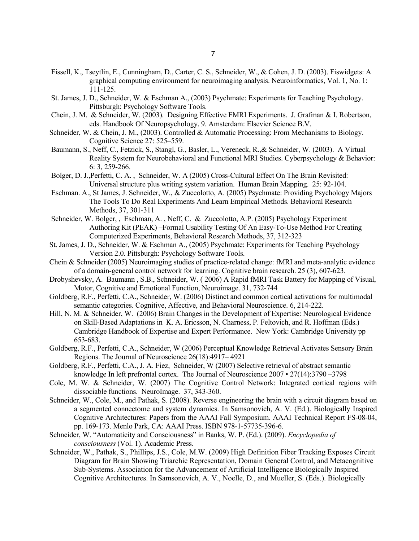- Fissell, K., Tseytlin, E., Cunningham, D., Carter, C. S., Schneider, W., & Cohen, J. D. (2003). Fiswidgets: A graphical computing environment for neuroimaging analysis. Neuroinformatics, Vol. 1, No. 1: 111-125.
- St. James, J. D., Schneider, W. & Eschman A., (2003) Psychmate: Experiments for Teaching Psychology. Pittsburgh: Psychology Software Tools.
- Chein, J. M. & Schneider, W. (2003). Designing Effective FMRI Experiments. J. Grafman & I. Robertson, eds. Handbook Of Neuropsychology, 9. Amsterdam: Elsevier Science B.V.
- Schneider, W. & Chein, J. M., (2003). Controlled & Automatic Processing: From Mechanisms to Biology. Cognitive Science 27: 525–559.
- Baumann, S., Neff, C., Fetzick, S., Stangl, G., Basler, L., Vereneck, R.,& Schneider, W. (2003). A Virtual Reality System for Neurobehavioral and Functional MRI Studies. Cyberpsychology & Behavior: 6: 3, 259-266.
- Bolger, D. J.,Perfetti, C. A. , Schneider, W. A (2005) Cross-Cultural Effect On The Brain Revisited: Universal structure plus writing system variation. Human Brain Mapping. 25: 92-104.
- Eschman. A., St James, J. Schneider, W., & Zuccolotto, A. (2005) Psychmate: Providing Psychology Majors The Tools To Do Real Experiments And Learn Empirical Methods. Behavioral Research Methods, 37, 301-311
- Schneider, W. Bolger, , Eschman, A. , Neff, C. & Zuccolotto, A.P. (2005) Psychology Experiment Authoring Kit (PEAK) –Formal Usability Testing Of An Easy-To-Use Method For Creating Computerized Experiments, Behavioral Research Methods, 37, 312-323
- St. James, J. D., Schneider, W. & Eschman A., (2005) Psychmate: Experiments for Teaching Psychology Version 2.0. Pittsburgh: Psychology Software Tools.
- Chein & Schneider (2005) Neuroimaging studies of practice-related change: fMRI and meta-analytic evidence of a domain-general control network for learning. Cognitive brain research. 25 (3), 607-623.
- Drobyshevsky, A. Baumann , S.B., Schneider, W. ( 2006) A Rapid fMRI Task Battery for Mapping of Visual, Motor, Cognitive and Emotional Function, Neuroimage. 31, 732-744
- Goldberg, R.F., Perfetti, C.A., Schneider, W. (2006) Distinct and common cortical activations for multimodal semantic categories. Cognitive, Affective, and Behavioral Neuroscience. 6, 214-222.
- Hill, N. M. & Schneider, W. (2006) Brain Changes in the Development of Expertise: Neurological Evidence on Skill-Based Adaptations in K. A. Ericsson, N. Charness, P. Feltovich, and R. Hoffman (Eds.) Cambridge Handbook of Expertise and Expert Performance. New York: Cambridge University pp 653-683.
- Goldberg, R.F., Perfetti, C.A., Schneider, W (2006) Perceptual Knowledge Retrieval Activates Sensory Brain Regions. The Journal of Neuroscience 26(18):4917– 4921
- Goldberg, R.F., Perfetti, C.A., J. A. Fiez, Schneider, W (2007) Selective retrieval of abstract semantic knowledge In left prefrontal cortex. The Journal of Neuroscience 2007 • 27(14):3790 -3798
- Cole, M. W. & Schneider, W. (2007) The Cognitive Control Network: Integrated cortical regions with dissociable functions. NeuroImage. 37, 343-360.
- Schneider, W., Cole, M., and Pathak, S. (2008). Reverse engineering the brain with a circuit diagram based on a segmented connectome and system dynamics. In Samsonovich, A. V. (Ed.). Biologically Inspired Cognitive Architectures: Papers from the AAAI Fall Symposium. AAAI Technical Report FS-08-04, pp. 169-173. Menlo Park, CA: AAAI Press. ISBN 978-1-57735-396-6.
- Schneider, W. "Automaticity and Consciousness" in Banks, W. P. (Ed.). (2009). *Encyclopedia of consciousness* (Vol. 1). Academic Press.
- Schneider, W., Pathak, S., Phillips, J.S., Cole, M.W. (2009) High Definition Fiber Tracking Exposes Circuit Diagram for Brain Showing Triarchic Representation, Domain General Control, and Metacognitive Sub-Systems. Association for the Advancement of Artificial Intelligence Biologically Inspired Cognitive Architectures. In Samsonovich, A. V., Noelle, D., and Mueller, S. (Eds.). Biologically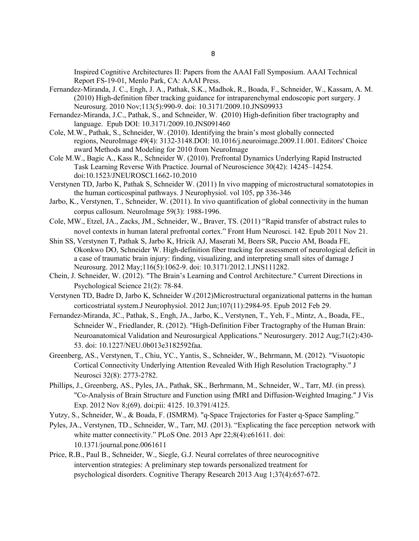Inspired Cognitive Architectures II: Papers from the AAAI Fall Symposium. AAAI Technical Report FS-19-01, Menlo Park, CA: AAAI Press.

- Fernandez-Miranda, J. C., Engh, J. A., Pathak, S.K., Madhok, R., Boada, F., Schneider, W., Kassam, A. M. (2010) High-definition fiber tracking guidance for intraparenchymal endoscopic port surgery. J Neurosurg. 2010 Nov;113(5):990-9. doi: 10.3171/2009.10.JNS09933
- Fernandez-Miranda, J.C., Pathak, S., and Schneider, W. **(**2010) High-definition fiber tractography and language. Epub DOI: 10.3171/2009.10.JNS091460
- Cole, M.W., Pathak, S., Schneider, W. (2010). Identifying the brain's most globally connected regions, NeuroImage 49(4): 3132-3148.DOI: 10.1016/j.neuroimage.2009.11.001. Editors' Choice award Methods and Modeling for 2010 from NeuroImage
- Cole M.W., Bagic A., Kass R., Schneider W. (2010). Prefrontal Dynamics Underlying Rapid Instructed Task Learning Reverse With Practice. Journal of Neuroscience 30(42): 14245–14254. doi:10.1523/JNEUROSCI.1662-10.2010
- Verstynen TD, Jarbo K, Pathak S, Schneider W. (2011) In vivo mapping of microstructural somatotopies in the human corticospinal pathways. J Neurophysiol. vol 105, pp 336-346
- Jarbo, K., Verstynen, T., Schneider, W. (2011). In vivo quantification of global connectivity in the human corpus callosum. NeuroImage 59(3): 1988-1996.
- Cole, MW., Etzel, JA., Zacks, JM., Schneider, W., Braver, TS. (2011) "Rapid transfer of abstract rules to novel contexts in human lateral prefrontal cortex." Front Hum Neurosci. 142. Epub 2011 Nov 21.
- Shin SS, Verstynen T, Pathak S, Jarbo K, Hricik AJ, Maserati M, Beers SR, Puccio AM, Boada FE, Okonkwo DO, Schneider W. High-definition fiber tracking for assessment of neurological deficit in a case of traumatic brain injury: finding, visualizing, and interpreting small sites of damage J Neurosurg. 2012 May;116(5):1062-9. doi: 10.3171/2012.1.JNS111282.
- Chein, J. Schneider, W. (2012). "The Brain's Learning and Control Architecture." Current Directions in Psychological Science 21(2): 78-84.
- Verstynen TD, Badre D, Jarbo K, Schneider W.(2012)Microstructural organizational patterns in the human corticostriatal system.J Neurophysiol. 2012 Jun;107(11):2984-95. Epub 2012 Feb 29.
- Fernandez-Miranda, JC., Pathak, S., Engh, JA., Jarbo, K., Verstynen, T., Yeh, F., Mintz, A., Boada, FE., Schneider W., Friedlander, R. (2012). "High-Definition Fiber Tractography of the Human Brain: Neuroanatomical Validation and Neurosurgical Applications." Neurosurgery. 2012 Aug;71(2):430- 53. doi: 10.1227/NEU.0b013e3182592faa.
- Greenberg, AS., Verstynen, T., Chiu, YC., Yantis, S., Schneider, W., Behrmann, M. (2012). "Visuotopic Cortical Connectivity Underlying Attention Revealed With High Resolution Tractography." J Neurosci 32(8): 2773-2782.
- Phillips, J., Greenberg, AS., Pyles, JA., Pathak, SK., Berhrmann, M., Schneider, W., Tarr, MJ. (in press). "Co-Analysis of Brain Structure and Function using fMRI and Diffusion-Weighted Imaging." J Vis Exp. 2012 Nov 8;(69). doi:pii: 4125. 10.3791/4125.
- Yutzy, S., Schneider, W., & Boada, F. (ISMRM). "q-Space Trajectories for Faster q-Space Sampling."
- Pyles, JA., Verstynen, TD., Schneider, W., Tarr, MJ. (2013). "Explicating the face perception network with white matter connectivity." PLoS One. 2013 Apr 22;8(4):e61611. doi: 10.1371/journal.pone.0061611
- Price, R.B., Paul B., Schneider, W., Siegle, G.J. Neural correlates of three neurocognitive intervention strategies: A preliminary step towards personalized treatment for psychological disorders. Cognitive Therapy Research 2013 Aug 1;37(4):657-672.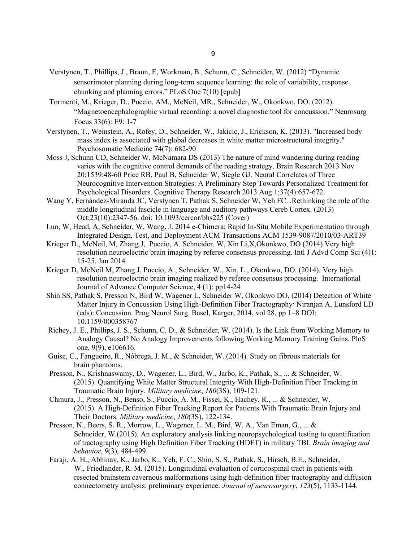- Verstynen, T., Phillips, J., Braun, E, Workman, B., Schunn, C., Schneider, W. (2012) "Dynamic sensorimotor planning during long-term sequence learning: the role of variability, response chunking and planning errors." PLoS One 7(10) [epub]
- Tormenti, M., Krieger, D., Puccio, AM., McNeil, MR., Schneider, W., Okonkwo, DO. (2012). "Magnetoencephalographic virtual recording: a novel diagnostic tool for concussion." Neurosurg Focus 33(6): E9: 1-7
- Verstynen, T., Weinstein, A., Rofey, D., Schneider, W., Jakicic, J., Erickson, K. (2013). "Increased body mass index is associated with global decreases in white matter microstructural integrity." Psychosomatic Medicine 74(7): 682-90
- Moss J, Schunn CD, Schneider W, McNamara DS (2013) The nature of mind wandering during reading varies with the cognitive control demands of the reading strategy. Brain Research 2013 Nov 20;1539:48-60 Price RB, Paul B, Schneider W, Siegle GJ. Neural Correlates of Three Neurocognitive Intervention Strategies: A Preliminary Step Towards Personalized Treatment for Psychological Disorders. Cognitive Therapy Research 2013 Aug 1;37(4):657-672.
- Wang Y, Fernández-Miranda JC, Verstynen T, Pathak S, Schneider W, Yeh FC. .Rethinking the role of the middle longitudinal fascicle in language and auditory pathways Cereb Cortex. (2013) Oct;23(10):2347-56. doi: 10.1093/cercor/bhs225 (Cover)
- Luo, W, Head, A, Schneider, W, Wang, J. 2014 e-Chimera: Rapid In-Situ Mobile Experimentation through Integrated Design, Test, and Deployment ACM Transactions ACM 1539-9087/2010/03-ART39
- Krieger D., McNeil, M, Zhang,J, Puccio, A. Schneider, W, Xin Li,X,Okonkwo, DO (2014) Very high resolution neuroelectric brain imaging by referee consensus processing. Intl J Advd Comp Sci (4)1: 15-25. Jan 2014
- Krieger D, McNeil M, Zhang J, Puccio, A., Schneider, W., Xin, L., Okonkwo, DO. (2014). Very high resolution neuroelectric brain imaging realized by referee consensus processing. International Journal of Advance Computer Science, 4 (1): pp14-24
- Shin SS, Pathak S, Presson N, Bird W, Wagener L, Schneider W, Okonkwo DO, (2014) Detection of White Matter Injury in Concussion Using High-Definition Fiber Tractography· Niranjan A, Lunsford LD (eds): Concussion. Prog Neurol Surg. Basel, Karger, 2014, vol 28, pp 1–8 DOI: 10.1159/000358767
- Richey, J. E., Phillips, J. S., Schunn, C. D., & Schneider, W. (2014). Is the Link from Working Memory to Analogy Causal? No Analogy Improvements following Working Memory Training Gains. PloS one, 9(9), e106616.
- Guise, C., Fangueiro, R., Nóbrega, J. M., & Schneider, W. (2014). Study on fibrous materials for brain phantoms.
- Presson, N., Krishnaswamy, D., Wagener, L., Bird, W., Jarbo, K., Pathak, S., ... & Schneider, W. (2015). Quantifying White Matter Structural Integrity With High-Definition Fiber Tracking in Traumatic Brain Injury. *Military medicine*, *180*(3S), 109-121.
- Chmura, J., Presson, N., Benso, S., Puccio, A. M., Fissel, K., Hachey, R., ... & Schneider, W. (2015). A High-Definition Fiber Tracking Report for Patients With Traumatic Brain Injury and Their Doctors. *Military medicine*, *180*(3S), 122-134.
- Presson, N., Beers, S. R., Morrow, L., Wagener, L. M., Bird, W. A., Van Eman, G., ... & Schneider, W.(2015). An exploratory analysis linking neuropsychological testing to quantification of tractography using High Definition Fiber Tracking (HDFT) in military TBI. *Brain imaging and behavior*, *9*(3), 484-499.
- Faraji, A. H., Abhinav, K., Jarbo, K., Yeh, F. C., Shin, S. S., Pathak, S., Hirsch, B.E., Schneider, W., Friedlander, R. M. (2015). Longitudinal evaluation of corticospinal tract in patients with resected brainstem cavernous malformations using high-definition fiber tractography and diffusion connectometry analysis: preliminary experience. *Journal of neurosurgery*, *123*(5), 1133-1144.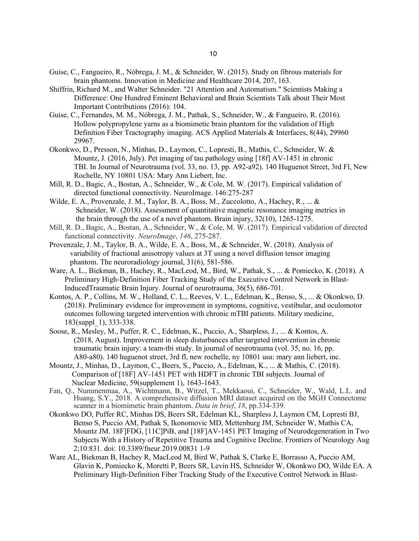- Guise, C., Fangueiro, R., Nóbrega, J. M., & Schneider, W. (2015). Study on fibrous materials for brain phantoms. Innovation in Medicine and Healthcare 2014, 207, 163.
- Shiffrin, Richard M., and Walter Schneider. "21 Attention and Automatism." Scientists Making a Difference: One Hundred Eminent Behavioral and Brain Scientists Talk about Their Most Important Contributions (2016): 104.
- Guise, C., Fernandes, M. M., Nóbrega, J. M., Pathak, S., Schneider, W., & Fangueiro, R. (2016). Hollow polypropylene yarns as a biomimetic brain phantom for the validation of High Definition Fiber Tractography imaging. ACS Applied Materials & Interfaces, 8(44), 29960 29967.
- Okonkwo, D., Presson, N., Minhas, D., Laymon, C., Lopresti, B., Mathis, C., Schneider, W. & Mountz, J. (2016, July). Pet imaging of tau pathology using [18f] AV-1451 in chronic TBI. In Journal of Neurotrauma (vol. 33, no. 13, pp. A92-a92). 140 Huguenot Street, 3rd Fl, New Rochelle, NY 10801 USA: Mary Ann Liebert, Inc.
- Mill, R. D., Bagic, A., Bostan, A., Schneider, W., & Cole, M. W. (2017). Empirical validation of directed functional connectivity. NeuroImage. 146:275-287
- Wilde, E. A., Provenzale, J. M., Taylor, B. A., Boss, M., Zuccolotto, A., Hachey, R., ... & Schneider, W. (2018). Assessment of quantitative magnetic resonance imaging metrics in the brain through the use of a novel phantom. Brain injury, 32(10), 1265-1275.
- Mill, R. D., Bagic, A., Bostan, A., Schneider, W., & Cole, M. W. (2017). Empirical validation of directed functional connectivity. *NeuroImage*, *146*, 275-287.
- Provenzale, J. M., Taylor, B. A., Wilde, E. A., Boss, M., & Schneider, W. (2018). Analysis of variability of fractional anisotropy values at 3T using a novel diffusion tensor imaging phantom. The neuroradiology journal, 31(6), 581-586.
- Ware, A. L., Biekman, B., Hachey, R., MacLeod, M., Bird, W., Pathak, S., ... & Pomiecko, K. (2018). A Preliminary High-Definition Fiber Tracking Study of the Executive Control Network in Blast-InducedTraumatic Brain Injury. Journal of neurotrauma, 36(5), 686-701.
- Kontos, A. P., Collins, M. W., Holland, C. L., Reeves, V. L., Edelman, K., Benso, S., ... & Okonkwo, D. (2018). Preliminary evidence for improvement in symptoms, cognitive, vestibular, and oculomotor outcomes following targeted intervention with chronic mTBI patients. Military medicine, 183(suppl\_1), 333-338.
- Soose, R., Mesley, M., Puffer, R. C., Edelman, K., Puccio, A., Sharpless, J., ... & Kontos, A. (2018, August). Improvement in sleep disturbances after targeted intervention in chronic traumatic brain injury: a team-tbi study. In journal of neurotrauma (vol. 35, no. 16, pp. A80-a80). 140 huguenot street, 3rd fl, new rochelle, ny 10801 usa: mary ann liebert, inc.
- Mountz, J., Minhas, D., Laymon, C., Beers, S., Puccio, A., Edelman, K., ... & Mathis, C. (2018). Comparison of [18F] AV-1451 PET with HDFT in chronic TBI subjects. Journal of Nuclear Medicine, 59(supplement 1), 1643-1643.
- Fan, Q., Nummenmaa, A., Wichtmann, B., Witzel, T., Mekkaoui, C., Schneider, W., Wald, L.L. and Huang, S.Y., 2018. A comprehensive diffusion MRI dataset acquired on the MGH Connectome scanner in a biomimetic brain phantom. *Data in brief*, *18*, pp.334-339.
- Okonkwo DO, Puffer RC, Minhas DS, Beers SR, Edelman KL, Sharpless J, Laymon CM, Lopresti BJ, Benso S, Puccio AM, Pathak S, Ikonomovic MD, Mettenburg JM, Schneider W, Mathis CA, Mountz JM. 18F]FDG, [11C]PiB, and [18F]AV-1451 PET Imaging of Neurodegeneration in Two Subjects With a History of Repetitive Trauma and Cognitive Decline. Frontiers of Neurology Aug 2;10:831. doi: 10.3389/fneur.2019.00831 1-9
- Ware AL, Biekman B, Hachey R, MacLeod M, Bird W, Pathak S, Clarke E, Borrasso A, Puccio AM, Glavin K, Pomiecko K, Moretti P, Beers SR, Levin HS, Schneider W, Okonkwo DO, Wilde EA. A Preliminary High-Definition Fiber Tracking Study of the Executive Control Network in Blast-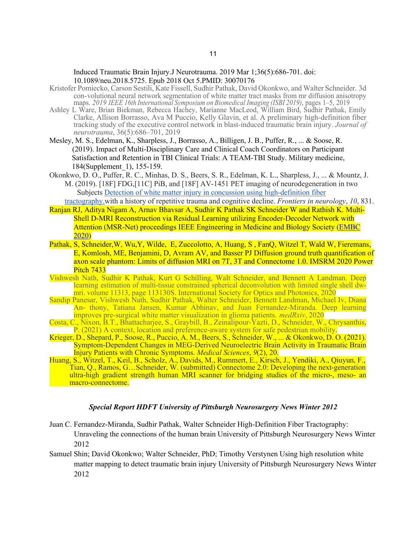## Induced Traumatic Brain Injury.J Neurotrauma. 2019 Mar 1;36(5):686-701. doi: 10.1089/neu.2018.5725. Epub 2018 Oct 5.PMID: 30070176

- Kristofer Pomiecko, Carson Sestili, Kate Fissell, Sudhir Pathak, David Okonkwo, and Walter Schneider. 3d con-volutional neural network segmentation of white matter tract masks from mr diffusion anisotropy maps. *2019 IEEE 16th International Symposium on Biomedical Imaging (ISBI 2019)*, pages 1–5, 2019
- Ashley L Ware, Brian Biekman, Rebecca Hachey, Marianne MacLeod, William Bird, Sudhir Pathak, Emily Clarke, Allison Borrasso, Ava M Puccio, Kelly Glavin, et al. A preliminary high-definition fiber tracking study of the executive control network in blast-induced traumatic brain injury. *Journal of neurotrauma*, 36(5):686–701, 2019
- Mesley, M. S., Edelman, K., Sharpless, J., Borrasso, A., Billigen, J. B., Puffer, R., ... & Soose, R. (2019). Impact of Multi-Disciplinary Care and Clinical Coach Coordinators on Participant Satisfaction and Retention in TBI Clinical Trials: A TEAM-TBI Study. Military medicine, 184(Supplement\_1), 155-159.
- Okonkwo, D. O., Puffer, R. C., Minhas, D. S., Beers, S. R., Edelman, K. L., Sharpless, J., ... & Mountz, J. M. (2019). [18F] FDG,[11C] PiB, and [18F] AV-1451 PET imaging of neurodegeneration in two Subjects Detection of white matter injury in concussion using high-definition fiber

tractography.with a history of repetitive trauma and cognitive decline. *Frontiers in neurology*, *10*, 831.

- Ranjan RJ, Aditya Nigam A, Arnav Bhavsar A, Sudhir K Pathak SK Schneider W and Rathish K. Multi-Shell D-MRI Reconstruction via Residual Learning utilizing Encoder-Decoder Network with Attention (MSR-Net) proceedings IEEE Engineering in Medicine and Biology Society (EMBC 2020)
- Pathak, S, Schneider, W, Wu, Y, Wilde, E, Zuccolotto, A, Huang, S, FanQ, Witzel T, Wald W, Fieremans, E, Komlosh, ME, Benjamini, D, Avram AV, and Basser PJ Diffusion ground truth quantification of axon scale phantom: Limits of diffusion MRI on 7T, 3T and Connectome 1.0. IMSRM 2020 Power Pitch 7433
- Vishwesh Nath, Sudhir K Pathak, Kurt G Schilling, Walt Schneider, and Bennett A Landman. Deep learning estimation of multi-tissue constrained spherical deconvolution with limited single shell dw mri. volume 11313, page 113130S. International Society for Optics and Photonics, 2020
- Sandip Panesar, Vishwesh Nath, Sudhir Pathak, Walter Schneider, Bennett Landman, Michael Iv, Diana An- thony, Tatiana Jansen, Kumar Abhinav, and Juan Fernandez-Miranda. Deep learning improves pre-surgical white matter visualization in glioma patients. *medRxiv*, 2020
- Costa, C., Nixon, B.T., Bhattacharjee, S., Graybill, B., Zeinalipour-Yazti, D., Schneider, W., Chrysanthis, P. (2021) A context, location and preference-aware system for safe pedestrian mobility.
- Krieger, D., Shepard, P., Soose, R., Puccio, A. M., Beers, S., Schneider, W., ... & Okonkwo, D. O. (2021). Symptom-Dependent Changes in MEG-Derived Neuroelectric Brain Activity in Traumatic Brain Injury Patients with Chronic Symptoms. *Medical Sciences*, *9*(2), 20.
- Huang, S., Witzel, T., Keil, B., Scholz, A., Davids, M., Rummert, E., Kirsch, J., Yendiki, A., Qiuyun, F., Tian, Q., Ramos, G…Schneider, W. (submitted) Connectome 2.0: Developing the next-generation ultra-high gradient strength human MRI scanner for bridging studies of the micro-, meso- an macro-connectome.

# *Special Report HDFT University of Pittsburgh Neurosurgery News Winter 2012*

- Juan C. Fernandez-Miranda, Sudhir Pathak, Walter Schneider High-Definition Fiber Tractography: Unraveling the connections of the human brain University of Pittsburgh Neurosurgery News Winter 2012
- Samuel Shin; David Okonkwo; Walter Schneider, PhD; Timothy Verstynen Using high resolution white matter mapping to detect traumatic brain injury University of Pittsburgh Neurosurgery News Winter 2012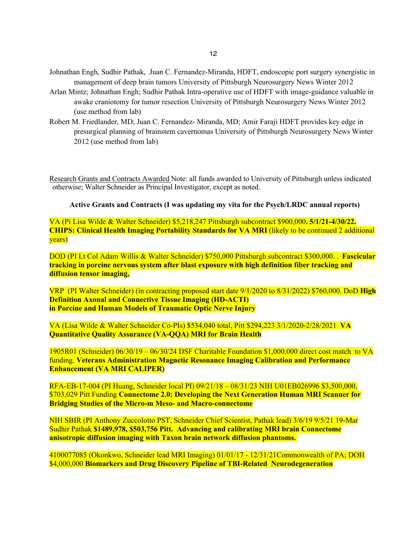- Johnathan Engh, Sudhir Pathak, Juan C. Fernandez-Miranda, HDFT, endoscopic port surgery synergistic in management of deep brain tumors University of Pittsburgh Neurosurgery News Winter 2012
- Arlan Mintz; Johnathan Engh; Sudhir Pathak Intra-operative use of HDFT with image-guidance valuable in awake craniotomy for tumor resection University of Pittsburgh Neurosurgery News Winter 2012 (use method from lab)
- Robert M. Friedlander, MD; Juan C. Fernandez- Miranda, MD; Amir Faraji HDFT provides key edge in presurgical planning of brainstem cavernomas University of Pittsburgh Neurosurgery News Winter 2012 (use method from lab)

Research Grants and Contracts Awarded Note: all funds awarded to University of Pittsburgh unless indicated otherwise; Walter Schneider as Principal Investigator, except as noted.

**Active Grants and Contracts (I was updating my vita for the Psych/LRDC annual reports)** 

VA (Pi Lisa Wilde & Walter Schneider) \$5,218,247 Pittsburgh subcontract \$900,000**. 5/1/21-4/30/22. CHIPS: Clinical Health Imaging Portability Standards for VA MRI** (likely to be continued 2 additional years)

DOD (PI Lt Col Adam Willis & Walter Schneider) \$750,000 Pittsburgh subcontract \$300,000. . **Fascicular tracking in porcine nervous system after blast exposure with high definition fiber tracking and diffusion tensor imaging,**

VRP (PI Walter Schneider) (in contracting proposed start date 9/1/2020 to 8/31/2022) \$760,000. DoD **High Definition Axonal and Connective Tissue Imaging (HD-ACTI) in Porcine and Human Models of Traumatic Optic Nerve Injury**

VA (Lisa Wilde & Walter Schneider Co-PIs) \$534,040 total, Pitt \$294,223 3/1/2020-2/28/2021 **VA Quantitative Quality Assurance (VA-QQA) MRI for Brain Health** 

1905R01 (Schneider) 06/30/19 – 06/30/24 DSF Charitable Foundation \$1,000,000 direct cost match to VA funding. **Veterans Administration Magnetic Resonance Imaging Calibration and Performance Enhancement (VA MRI CALIPER)**

RFA-EB-17-004 (PI Huang, Schneider local PI) 09/21/18 – 08/31/23 NIH U01EB026996 \$3,500,000, \$703,029 Pitt Funding **Connectome 2.0: Developing the Next Generation Human MRI Scanner for Bridging Studies of the Micro-m Meso- and Macro-connectome** 

NIH SBIR (PI Anthony Zuccolotto PST, Schneider Chief Scientist, Pathak lead) 3/6/19 9/5/21 19-Mar Sudhir Pathak **\$1489,978, \$503,756 Pitt. Advancing and calibrating MRI brain Connectome anisotropic diffusion imaging with Taxon brain network diffusion phantoms.**

4100077085 (Okonkwo, Schneider lead MRI Imaging) 01/01/17 - 12/31/21Commonwealth of PA; DOH \$4,000,000 **Biomarkers and Drug Discovery Pipeline of TBI-Related Neurodegeneration**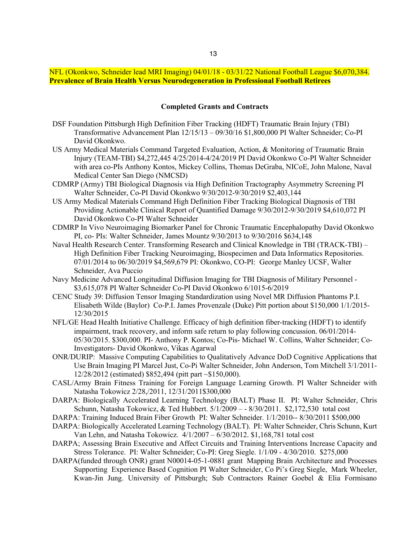# NFL (Okonkwo, Schneider lead MRI Imaging) 04/01/18 - 03/31/22 National Football League \$6,070,384. **Prevalence of Brain Health Versus Neurodegeneration in Professional Football Retirees**

#### **Completed Grants and Contracts**

- DSF Foundation Pittsburgh High Definition Fiber Tracking (HDFT) Traumatic Brain Injury (TBI) Transformative Advancement Plan 12/15/13 – 09/30/16 \$1,800,000 PI Walter Schneider; Co-PI David Okonkwo.
- US Army Medical Materials Command Targeted Evaluation, Action, & Monitoring of Traumatic Brain Injury (TEAM-TBI) \$4,272,445 4/25/2014-4/24/2019 PI David Okonkwo Co-PI Walter Schneider with area co-PIs Anthony Kontos, Mickey Collins, Thomas DeGraba, NICoE, John Malone, Naval Medical Center San Diego (NMCSD)
- CDMRP (Army) TBI Biological Diagnosis via High Definition Tractography Asymmetry Screening PI Walter Schneider, Co-PI David Okonkwo 9/30/2012-9/30/2019 \$2,403,144
- US Army Medical Materials Command High Definition Fiber Tracking Biological Diagnosis of TBI Providing Actionable Clinical Report of Quantified Damage 9/30/2012-9/30/2019 \$4,610,072 PI David Okonkwo Co-PI Walter Schneider
- CDMRP In Vivo Neuroimaging Biomarker Panel for Chronic Traumatic Encephalopathy David Okonkwo PI, co- PIs: Walter Schneider, James Mountz 9/30/2013 to 9/30/2016 \$634,148
- Naval Health Research Center. Transforming Research and Clinical Knowledge in TBI (TRACK-TBI) High Definition Fiber Tracking Neuroimaging, Biospecimen and Data Informatics Repositories. 07/01/2014 to 06/30/2019 \$4,569,679 PI: Okonkwo, CO-PI: George Manley UCSF, Walter Schneider, Ava Puccio
- Navy Medicine Advanced Longitudinal Diffusion Imaging for TBI Diagnosis of Military Personnel \$3,615,078 PI Walter Schneider Co-PI David Okonkwo 6/1015-6/2019
- CENC Study 39: Diffusion Tensor Imaging Standardization using Novel MR Diffusion Phantoms P.I. Elisabeth Wilde (Baylor) Co-P.I. James Provenzale (Duke) Pitt portion about \$150,000 1/1/2015- 12/30/2015
- NFL/GE Head Health Initiative Challenge. Efficacy of high definition fiber-tracking (HDFT) to identify impairment, track recovery, and inform safe return to play following concussion. 06/01/2014- 05/30/2015. \$300,000. PI- Anthony P. Kontos; Co-Pis- Michael W. Collins, Walter Schneider; Co-Investigators- David Okonkwo, Vikas Agarwal
- ONR/DURIP: Massive Computing Capabilities to Qualitatively Advance DoD Cognitive Applications that Use Brain Imaging PI Marcel Just, Co-Pi Walter Schneider, John Anderson, Tom Mitchell 3/1/2011- 12/28/2012 (estimated) \$852,494 (pitt part ~\$150,000).
- CASL/Army Brain Fitness Training for Foreign Language Learning Growth. PI Walter Schneider with Natasha Tokowicz 2/28,/2011, 12/31/2011\$300,000
- DARPA: Biologically Accelerated Learning Technology (BALT) Phase II. PI: Walter Schneider, Chris Schunn, Natasha Tokowicz, & Ted Hubbert.  $5/1/2009 - 8/30/2011$ . \$2,172,530 total cost
- DARPA: Training Induced Brain Fiber Growth PI: Walter Schneider. 1/1/2010-- 8/30/2011 \$500,000
- DARPA: Biologically Accelerated Learning Technology (BALT). PI: Walter Schneider, Chris Schunn, Kurt Van Lehn, and Natasha Tokowicz. 4/1/2007 – 6/30/2012. \$1,168,781 total cost
- DARPA; Assessing Brain Executive and Affect Circuits and Training Interventions Increase Capacity and Stress Tolerance. PI: Walter Schneider; Co-PI: Greg Siegle. 1/1/09 - 4/30/2010. \$275,000
- DARPA(funded through ONR) grant N00014-05-1-0881 grant Mapping Brain Architecture and Processes Supporting Experience Based Cognition PI Walter Schneider, Co Pi's Greg Siegle, Mark Wheeler, Kwan-Jin Jung. University of Pittsburgh; Sub Contractors Rainer Goebel & Elia Formisano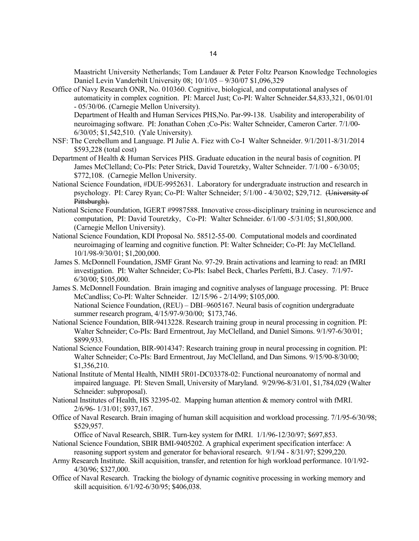Maastricht University Netherlands; Tom Landauer & Peter Foltz Pearson Knowledge Technologies Daniel Levin Vanderbilt University 08; 10/1/05 – 9/30/07 \$1,096,329

- Office of Navy Research ONR, No. 010360. Cognitive, biological, and computational analyses of automaticity in complex cognition. PI: Marcel Just; Co-PI: Walter Schneider.\$4,833,321, 06/01/01 - 05/30/06. (Carnegie Mellon University). Department of Health and Human Services PHS,No. Par-99-138. Usability and interoperability of neuroimaging software. PI: Jonathan Cohen ;Co-Pis: Walter Schneider, Cameron Carter. 7/1/00- 6/30/05; \$1,542,510. (Yale University).
- NSF: The Cerebellum and Language. PI Julie A. Fiez with Co-I Walter Schneider. 9/1/2011-8/31/2014 \$593,228 (total cost)
- Department of Health & Human Services PHS. Graduate education in the neural basis of cognition. PI James McClelland; Co-PIs: Peter Strick, David Touretzky, Walter Schneider. 7/1/00 - 6/30/05; \$772,108. (Carnegie Mellon University.
- National Science Foundation, #DUE-9952631. Laboratory for undergraduate instruction and research in psychology. PI: Carey Ryan; Co-PI: Walter Schneider; 5/1/00 - 4/30/02; \$29,712. (University of Pittsburgh).
- National Science Foundation, IGERT #9987588. Innovative cross-disciplinary training in neuroscience and computation, PI: David Touretzky, Co-PI: Walter Schneider. 6/1/00 -5/31/05; \$1,800,000. (Carnegie Mellon University).
- National Science Foundation, KDI Proposal No. 58512-55-00. Computational models and coordinated neuroimaging of learning and cognitive function. PI: Walter Schneider; Co-PI: Jay McClelland. 10/1/98-9/30/01; \$1,200,000.
- James S. McDonnell Foundation, JSMF Grant No. 97-29. Brain activations and learning to read: an fMRI investigation. PI: Walter Schneider; Co-PIs: Isabel Beck, Charles Perfetti, B.J. Casey. 7/1/97- 6/30/00; \$105,000.
- James S. McDonnell Foundation. Brain imaging and cognitive analyses of language processing. PI: Bruce McCandliss; Co-PI: Walter Schneider. 12/15/96 - 2/14/99; \$105,000. National Science Foundation, (REU) – DBI–9605167. Neural basis of cognition undergraduate summer research program, 4/15/97-9/30/00; \$173,746.
- National Science Foundation, BIR-9413228. Research training group in neural processing in cognition. PI: Walter Schneider; Co-PIs: Bard Ermentrout, Jay McClelland, and Daniel Simons. 9/1/97-6/30/01; \$899,933.
- National Science Foundation, BIR-9014347: Research training group in neural processing in cognition. PI: Walter Schneider; Co-PIs: Bard Ermentrout, Jay McClelland, and Dan Simons. 9/15/90-8/30/00; \$1,356,210.
- National Institute of Mental Health, NIMH 5R01-DC03378-02: Functional neuroanatomy of normal and impaired language. PI: Steven Small, University of Maryland. 9/29/96-8/31/01, \$1,784,029 (Walter Schneider: subproposal).
- National Institutes of Health, HS 32395-02. Mapping human attention & memory control with fMRI. 2/6/96- 1/31/01; \$937,167.
- Office of Naval Research. Brain imaging of human skill acquisition and workload processing. 7/1/95-6/30/98; \$529,957.

Office of Naval Research, SBIR. Turn-key system for fMRI. 1/1/96-12/30/97; \$697,853.

- National Science Foundation, SBIR BMI-9405202. A graphical experiment specification interface: A reasoning support system and generator for behavioral research. 9/1/94 - 8/31/97; \$299,220.
- Army Research Institute. Skill acquisition, transfer, and retention for high workload performance. 10/1/92- 4/30/96; \$327,000.
- Office of Naval Research. Tracking the biology of dynamic cognitive processing in working memory and skill acquisition. 6/1/92-6/30/95; \$406,038.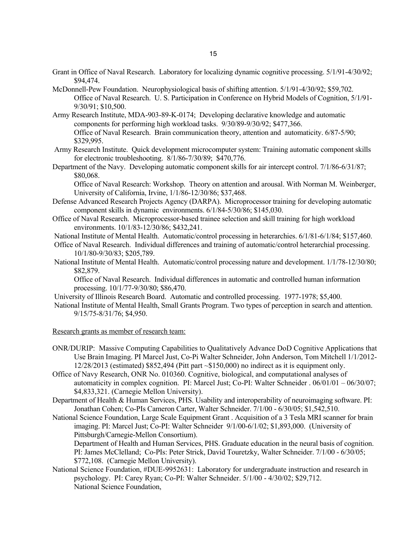- Grant in Office of Naval Research. Laboratory for localizing dynamic cognitive processing. 5/1/91-4/30/92; \$94,474.
- McDonnell-Pew Foundation. Neurophysiological basis of shifting attention. 5/1/91-4/30/92; \$59,702. Office of Naval Research. U. S. Participation in Conference on Hybrid Models of Cognition, 5/1/91- 9/30/91; \$10,500.
- Army Research Institute, MDA-903-89-K-0174; Developing declarative knowledge and automatic components for performing high workload tasks. 9/30/89-9/30/92; \$477,366. Office of Naval Research. Brain communication theory, attention and automaticity. 6/87-5/90; \$329,995.
- Army Research Institute. Quick development microcomputer system: Training automatic component skills for electronic troubleshooting. 8/1/86-7/30/89; \$470,776.
- Department of the Navy. Developing automatic component skills for air intercept control. 7/1/86-6/31/87; \$80,068.

Office of Naval Research: Workshop. Theory on attention and arousal. With Norman M. Weinberger, University of California, Irvine, 1/1/86-12/30/86; \$37,468.

- Defense Advanced Research Projects Agency (DARPA). Microprocessor training for developing automatic component skills in dynamic environments. 6/1/84-5/30/86; \$145,030.
- Office of Naval Research. Microprocessor-based trainee selection and skill training for high workload environments. 10/1/83-12/30/86; \$432,241.
- National Institute of Mental Health. Automatic/control processing in heterarchies. 6/1/81-6/1/84; \$157,460.
- Office of Naval Research. Individual differences and training of automatic/control heterarchial processing. 10/1/80-9/30/83; \$205,789.
- National Institute of Mental Health. Automatic/control processing nature and development. 1/1/78-12/30/80; \$82,879.

Office of Naval Research. Individual differences in automatic and controlled human information processing. 10/1/77-9/30/80; \$86,470.

University of Illinois Research Board. Automatic and controlled processing. 1977-1978; \$5,400.

National Institute of Mental Health, Small Grants Program. Two types of perception in search and attention. 9/15/75-8/31/76; \$4,950.

Research grants as member of research team:

- ONR/DURIP: Massive Computing Capabilities to Qualitatively Advance DoD Cognitive Applications that Use Brain Imaging. PI Marcel Just, Co-Pi Walter Schneider, John Anderson, Tom Mitchell 1/1/2012- 12/28/2013 (estimated) \$852,494 (Pitt part ~\$150,000) no indirect as it is equipment only.
- Office of Navy Research, ONR No. 010360. Cognitive, biological, and computational analyses of automaticity in complex cognition. PI: Marcel Just; Co-PI: Walter Schneider . 06/01/01 – 06/30/07; \$4,833,321. (Carnegie Mellon University).
- Department of Health & Human Services, PHS. Usability and interoperability of neuroimaging software. PI: Jonathan Cohen; Co-PIs Cameron Carter, Walter Schneider. 7/1/00 - 6/30/05; \$1,542,510.
- National Science Foundation, Large Scale Equipment Grant . Acquisition of a 3 Tesla MRI scanner for brain imaging. PI: Marcel Just; Co-PI: Walter Schneider 9/1/00-6/1/02; \$1,893,000. (University of Pittsburgh/Carnegie-Mellon Consortium).

Department of Health and Human Services, PHS. Graduate education in the neural basis of cognition. PI: James McClelland; Co-PIs: Peter Strick, David Touretzky, Walter Schneider. 7/1/00 - 6/30/05; \$772,108. (Carnegie Mellon University).

National Science Foundation, #DUE-9952631: Laboratory for undergraduate instruction and research in psychology. PI: Carey Ryan; Co-PI: Walter Schneider. 5/1/00 - 4/30/02; \$29,712. National Science Foundation,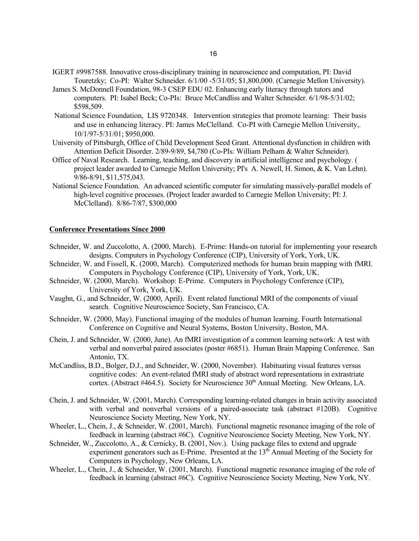- IGERT #9987588. Innovative cross-disciplinary training in neuroscience and computation, PI: David Touretzky; Co-PI: Walter Schneider. 6/1/00 -5/31/05; \$1,800,000. (Carnegie Mellon University).
- James S. McDonnell Foundation, 98-3 CSEP EDU 02. Enhancing early literacy through tutors and computers. PI: Isabel Beck; Co-PIs: Bruce McCandliss and Walter Schneider. 6/1/98-5/31/02; \$598,509.
- National Science Foundation, LIS 9720348. Intervention strategies that promote learning: Their basis and use in enhancing literacy. PI: James McClelland. Co-PI with Carnegie Mellon University,. 10/1/97-5/31/01; \$950,000.
- University of Pittsburgh, Office of Child Development Seed Grant. Attentional dysfunction in children with Attention Deficit Disorder. 2/89-9/89, \$4,780 (Co-PIs: William Pelham & Walter Schneider).
- Office of Naval Research. Learning, teaching, and discovery in artificial intelligence and psychology. ( project leader awarded to Carnegie Mellon University; PI's A. Newell, H. Simon, & K. Van Lehn). 9/86-8/91, \$11,575,043.
- National Science Foundation. An advanced scientific computer for simulating massively-parallel models of high-level cognitive processes. (Project leader awarded to Carnegie Mellon University; PI: J. McClelland). 8/86-7/87, \$300,000

## **Conference Presentations Since 2000**

- Schneider, W. and Zuccolotto, A. (2000, March). E-Prime: Hands-on tutorial for implementing your research designs. Computers in Psychology Conference (CIP), University of York, York, UK.
- Schneider, W. and Fissell, K. (2000, March). Computerized methods for human brain mapping with fMRI. Computers in Psychology Conference (CIP), University of York, York, UK.
- Schneider, W. (2000, March). Workshop: E-Prime. Computers in Psychology Conference (CIP), University of York, York, UK.
- Vaughn, G., and Schneider, W. (2000, April). Event related functional MRI of the components of visual search. Cognitive Neuroscience Society, San Francisco, CA.
- Schneider, W. (2000, May). Functional imaging of the modules of human learning. Fourth International Conference on Cognitive and Neural Systems, Boston University, Boston, MA.
- Chein, J. and Schneider, W. (2000, June). An fMRI investigation of a common learning network: A test with verbal and nonverbal paired associates (poster #6851). Human Brain Mapping Conference. San Antonio, TX.
- McCandliss, B.D., Bolger, D.J., and Schneider, W. (2000, November). Habituating visual features versus cognitive codes: An event-related fMRI study of abstract word representations in extrastriate cortex. (Abstract #464.5). Society for Neuroscience  $30<sup>th</sup>$  Annual Meeting. New Orleans, LA.
- Chein, J. and Schneider, W. (2001, March). Corresponding learning-related changes in brain activity associated with verbal and nonverbal versions of a paired-associate task (abstract #120B). Cognitive Neuroscience Society Meeting, New York, NY.
- Wheeler, L., Chein, J., & Schneider, W. (2001, March). Functional magnetic resonance imaging of the role of feedback in learning (abstract #6C). Cognitive Neuroscience Society Meeting, New York, NY.
- Schneider, W., Zuccolotto, A., & Cernicky, B. (2001, Nov.). Using package files to extend and upgrade experiment generators such as E-Prime. Presented at the  $13<sup>th</sup>$  Annual Meeting of the Society for Computers in Psychology, New Orleans, LA.
- Wheeler, L., Chein, J., & Schneider, W. (2001, March). Functional magnetic resonance imaging of the role of feedback in learning (abstract #6C). Cognitive Neuroscience Society Meeting, New York, NY.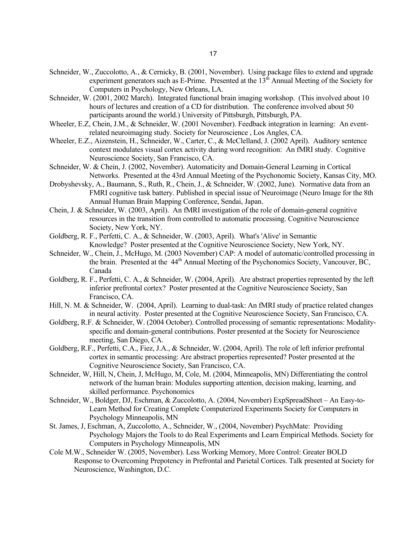- Schneider, W., Zuccolotto, A., & Cernicky, B. (2001, November). Using package files to extend and upgrade experiment generators such as E-Prime. Presented at the  $13<sup>th</sup>$  Annual Meeting of the Society for Computers in Psychology, New Orleans, LA.
- Schneider, W. (2001, 2002 March). Integrated functional brain imaging workshop. (This involved about 10 hours of lectures and creation of a CD for distribution. The conference involved about 50 participants around the world.) University of Pittsburgh, Pittsburgh, PA.
- Wheeler, E.Z, Chein, J.M., & Schneider, W. (2001 November). Feedback integration in learning: An eventrelated neuroimaging study. Society for Neuroscience , Los Angles, CA.
- Wheeler, E.Z., Aizenstein, H., Schneider, W., Carter, C., & McClelland, J. (2002 April). Auditory sentence context modulates visual cortex activity during word recognition: An fMRI study. Cognitive Neuroscience Society, San Francisco, CA.
- Schneider, W. & Chein, J. (2002, November). Automaticity and Domain-General Learning in Cortical Networks. Presented at the 43rd Annual Meeting of the Psychonomic Society, Kansas City, MO.
- Drobyshevsky, A., Baumann, S., Ruth, R., Chein, J., & Schneider, W. (2002, June). Normative data from an FMRI cognitive task battery. Published in special issue of Neuroimage (Neuro Image for the 8th Annual Human Brain Mapping Conference, Sendai, Japan.
- Chein, J. & Schneider, W. (2003, April). An fMRI investigation of the role of domain-general cognitive resources in the transition from controlled to automatic processing. Cognitive Neuroscience Society, New York, NY.
- Goldberg, R. F., Perfetti, C. A., & Schneider, W. (2003, April). What's 'Alive' in Semantic Knowledge? Poster presented at the Cognitive Neuroscience Society, New York, NY.
- Schneider, W., Chein, J., McHugo, M. (2003 November) CAP: A model of automatic/controlled processing in the brain. Presented at the 44<sup>th</sup> Annual Meeting of the Psychonomics Society, Vancouver, BC, Canada
- Goldberg, R. F., Perfetti, C. A., & Schneider, W. (2004, April). Are abstract properties represented by the left inferior prefrontal cortex? Poster presented at the Cognitive Neuroscience Society, San Francisco, CA.
- Hill, N. M. & Schneider, W. (2004, April). Learning to dual-task: An fMRI study of practice related changes in neural activity. Poster presented at the Cognitive Neuroscience Society, San Francisco, CA.
- Goldberg, R.F. & Schneider, W. (2004 October). Controlled processing of semantic representations: Modalityspecific and domain-general contributions. Poster presented at the Society for Neuroscience meeting, San Diego, CA.
- Goldberg, R.F., Perfetti, C.A., Fiez, J.A., & Schneider, W. (2004, April). The role of left inferior prefrontal cortex in semantic processing: Are abstract properties represented? Poster presented at the Cognitive Neuroscience Society, San Francisco, CA.
- Schneider, W, Hill, N, Chein, J, McHugo, M, Cole, M. (2004, Minneapolis, MN) Differentiating the control network of the human brain: Modules supporting attention, decision making, learning, and skilled performance. Psychonomics
- Schneider, W., Boldger, DJ, Eschman, & Zuccolotto, A. (2004, November) ExpSpreadSheet An Easy-to-Learn Method for Creating Complete Computerized Experiments Society for Computers in Psychology Minneapolis, MN
- St. James, J, Eschman, A, Zuccolotto, A., Schneider, W., (2004, November) PsychMate: Providing Psychology Majors the Tools to do Real Experiments and Learn Empirical Methods. Society for Computers in Psychology Minneapolis, MN
- Cole M.W., Schneider W. (2005, November). Less Working Memory, More Control: Greater BOLD Response to Overcoming Prepotency in Prefrontal and Parietal Cortices. Talk presented at Society for Neuroscience, Washington, D.C.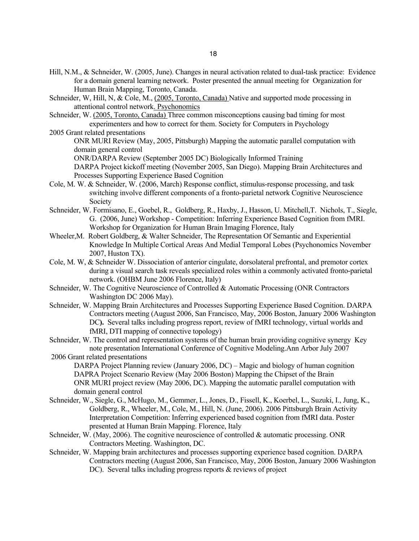- Hill, N.M., & Schneider, W. (2005, June). Changes in neural activation related to dual-task practice: Evidence for a domain general learning network. Poster presented the annual meeting for Organization for Human Brain Mapping, Toronto, Canada.
- Schneider, W, Hill, N, & Cole, M., (2005, Toronto, Canada) Native and supported mode processing in attentional control network. Psychonomics
- Schneider, W. (2005, Toronto, Canada) Three common misconceptions causing bad timing for most experimenters and how to correct for them. Society for Computers in Psychology
- 2005 Grant related presentations
	- ONR MURI Review (May, 2005, Pittsburgh) Mapping the automatic parallel computation with domain general control

ONR/DARPA Review (September 2005 DC) Biologically Informed Training

- DARPA Project kickoff meeting (November 2005, San Diego). Mapping Brain Architectures and Processes Supporting Experience Based Cognition
- Cole, M. W. & Schneider, W. (2006, March) Response conflict, stimulus-response processing, and task switching involve different components of a fronto-parietal network Cognitive Neuroscience Society
- Schneider, W. Formisano, E., Goebel, R., Goldberg, R., Haxby, J., Hasson, U. Mitchell,T. Nichols, T., Siegle, G. (2006, June) Workshop - Competition: Inferring Experience Based Cognition from fMRI. Workshop for Organization for Human Brain Imaging Florence, Italy
- Wheeler,M. Robert Goldberg, & Walter Schneider, The Representation Of Semantic and Experiential Knowledge In Multiple Cortical Areas And Medial Temporal Lobes (Psychonomics November 2007, Huston TX).
- Cole, M. W, & Schneider W. Dissociation of anterior cingulate, dorsolateral prefrontal, and premotor cortex during a visual search task reveals specialized roles within a commonly activated fronto-parietal network. (OHBM June 2006 Florence, Italy)
- Schneider, W. The Cognitive Neuroscience of Controlled & Automatic Processing (ONR Contractors Washington DC 2006 May).
- Schneider, W. Mapping Brain Architectures and Processes Supporting Experience Based Cognition. DARPA Contractors meeting (August 2006, San Francisco, May, 2006 Boston, January 2006 Washington DC**).** Several talks including progress report, review of fMRI technology, virtual worlds and fMRI, DTI mapping of connective topology)
- Schneider, W. The control and representation systems of the human brain providing cognitive synergy Key note presentation International Conference of Cognitive Modeling.Ann Arbor July 2007
- 2006 Grant related presentations DARPA Project Planning review (January 2006, DC) – Magic and biology of human cognition DAPRA Project Scenario Review (May 2006 Boston) Mapping the Chipset of the Brain ONR MURI project review (May 2006, DC). Mapping the automatic parallel computation with domain general control
- Schneider, W., Siegle, G., McHugo, M., Gemmer, L., Jones, D., Fissell, K., Koerbel, L., Suzuki, I., Jung, K., Goldberg, R., Wheeler, M., Cole, M., Hill, N. (June, 2006). 2006 Pittsburgh Brain Activity Interpretation Competition: Inferring experienced based cognition from fMRI data. Poster presented at Human Brain Mapping. Florence, Italy
- Schneider, W. (May, 2006). The cognitive neuroscience of controlled  $&$  automatic processing. ONR Contractors Meeting. Washington, DC.
- Schneider, W. Mapping brain architectures and processes supporting experience based cognition. DARPA Contractors meeting (August 2006, San Francisco, May, 2006 Boston, January 2006 Washington DC). Several talks including progress reports & reviews of project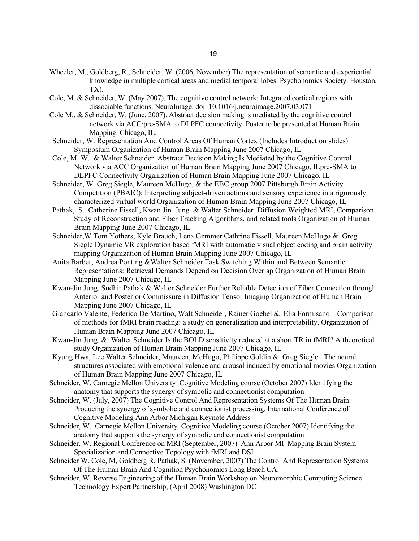- Wheeler, M., Goldberg, R., Schneider, W. (2006, November) The representation of semantic and experiential knowledge in multiple cortical areas and medial temporal lobes. Psychonomics Society. Houston, TX).
- Cole, M. & Schneider, W. (May 2007). The cognitive control network: Integrated cortical regions with dissociable functions. NeuroImage. doi: 10.1016/j.neuroimage.2007.03.071
- Cole M., & Schneider, W. (June, 2007). Abstract decision making is mediated by the cognitive control network via ACC/pre-SMA to DLPFC connectivity. Poster to be presented at Human Brain Mapping. Chicago, IL.
- Schneider, W. Representation And Control Areas Of Human Cortex (Includes Introduction slides) Symposium Organization of Human Brain Mapping June 2007 Chicago, IL
- Cole, M. W. & Walter Schneider Abstract Decision Making Is Mediated by the Cognitive Control Network via ACC Organization of Human Brain Mapping June 2007 Chicago, ILpre-SMA to DLPFC Connectivity Organization of Human Brain Mapping June 2007 Chicago, IL
- Schneider, W. Greg Siegle, Maureen McHugo, & the EBC group 2007 Pittsburgh Brain Activity Competition (PBAIC): Interpreting subject-driven actions and sensory experience in a rigorously characterized virtual world Organization of Human Brain Mapping June 2007 Chicago, IL
- Pathak, S. Catherine Fissell, Kwan Jin Jung & Walter Schneider Diffusion Weighted MRI, Comparison Study of Reconstruction and Fiber Tracking Algorithms, and related tools Organization of Human Brain Mapping June 2007 Chicago, IL
- Schneider,W Tom Yothers, Kyle Brauch, Lena Gemmer Cathrine Fissell, Maureen McHugo & Greg Siegle Dynamic VR exploration based fMRI with automatic visual object coding and brain activity mapping Organization of Human Brain Mapping June 2007 Chicago, IL
- Anita Barber, Andrea Ponting &Walter Schneider Task Switching Within and Between Semantic Representations: Retrieval Demands Depend on Decision Overlap Organization of Human Brain Mapping June 2007 Chicago, IL
- Kwan-Jin Jung, Sudhir Pathak & Walter Schneider Further Reliable Detection of Fiber Connection through Anterior and Posterior Commissure in Diffusion Tensor Imaging Organization of Human Brain Mapping June 2007 Chicago, IL
- Giancarlo Valente, Federico De Martino, Walt Schneider, Rainer Goebel & Elia Formisano Comparison of methods for fMRI brain reading: a study on generalization and interpretability. Organization of Human Brain Mapping June 2007 Chicago, IL
- Kwan-Jin Jung, & Walter Schneider Is the BOLD sensitivity reduced at a short TR in fMRI? A theoretical study Organization of Human Brain Mapping June 2007 Chicago, IL
- Kyung Hwa, Lee Walter Schneider, Maureen, McHugo, Philippe Goldin & Greg Siegle The neural structures associated with emotional valence and arousal induced by emotional movies Organization of Human Brain Mapping June 2007 Chicago, IL
- Schneider, W. Carnegie Mellon University Cognitive Modeling course (October 2007) Identifying the anatomy that supports the synergy of symbolic and connectionist computation
- Schneider, W. (July, 2007) The Cognitive Control And Representation Systems Of The Human Brain: Producing the synergy of symbolic and connectionist processing. International Conference of Cognitive Modeling Ann Arbor Michigan Keynote Address
- Schneider, W. Carnegie Mellon University Cognitive Modeling course (October 2007) Identifying the anatomy that supports the synergy of symbolic and connectionist computation
- Schneider, W. Regional Conference on MRI (September, 2007) Ann Arbor MI Mapping Brain System Specialization and Connective Topology with fMRI and DSI
- Schneider W. Cole, M, Goldberg R, Pathak, S. (November, 2007) The Control And Representation Systems Of The Human Brain And Cognition Psychonomics Long Beach CA.
- Schneider, W. Reverse Engineering of the Human Brain Workshop on Neuromorphic Computing Science Technology Expert Partnership, (April 2008) Washington DC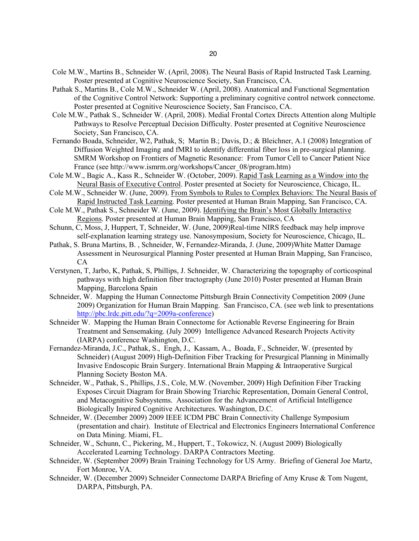- Cole M.W., Martins B., Schneider W. (April, 2008). The Neural Basis of Rapid Instructed Task Learning. Poster presented at Cognitive Neuroscience Society, San Francisco, CA.
- Pathak S., Martins B., Cole M.W., Schneider W. (April, 2008). Anatomical and Functional Segmentation of the Cognitive Control Network: Supporting a preliminary cognitive control network connectome. Poster presented at Cognitive Neuroscience Society, San Francisco, CA.
- Cole M.W., Pathak S., Schneider W. (April, 2008). Medial Frontal Cortex Directs Attention along Multiple Pathways to Resolve Perceptual Decision Difficulty. Poster presented at Cognitive Neuroscience Society, San Francisco, CA.
- Fernando Boada, Schneider, W2, Pathak, S; Martin B.; Davis, D.; & Bleichner, A.1 (2008) Integration of Diffusion Weighted Imaging and fMRI to identify differential fiber loss in pre-surgical planning. SMRM Workshop on Frontiers of Magnetic Resonance: From Tumor Cell to Cancer Patient Nice France (see http://www.ismrm.org/workshops/Cancer\_08/program.htm)
- Cole M.W., Bagic A., Kass R., Schneider W. (October, 2009). Rapid Task Learning as a Window into the Neural Basis of Executive Control. Poster presented at Society for Neuroscience, Chicago, IL.
- Cole M.W., Schneider W. (June, 2009). From Symbols to Rules to Complex Behaviors: The Neural Basis of Rapid Instructed Task Learning. Poster presented at Human Brain Mapping, San Francisco, CA.
- Cole M.W., Pathak S., Schneider W. (June, 2009). Identifying the Brain's Most Globally Interactive Regions. Poster presented at Human Brain Mapping, San Francisco, CA
- Schunn, C, Moss, J, Huppert, T, Schneider, W. (June, 2009)Real-time NIRS feedback may help improve self-explanation learning strategy use. Nanosymposium, Society for Neuroscience, Chicago, IL.
- Pathak, S. Bruna Martins, B. , Schneider, W, Fernandez-Miranda, J. (June, 2009)White Matter Damage Assessment in Neurosurgical Planning Poster presented at Human Brain Mapping, San Francisco, CA
- Verstynen, T, Jarbo, K, Pathak, S, Phillips, J. Schneider, W. Characterizing the topography of corticospinal pathways with high definition fiber tractography (June 2010) Poster presented at Human Brain Mapping, Barcelona Spain
- Schneider, W. Mapping the Human Connectome Pittsburgh Brain Connectivity Competition 2009 (June 2009) Organization for Human Brain Mapping. San Francisco, CA. (see web link to presentations http://pbc.lrdc.pitt.edu/?q=2009a-conference)
- Schneider W. Mapping the Human Brain Connectome for Actionable Reverse Engineering for Brain Treatment and Sensemaking. (July 2009) Intelligence Advanced Research Projects Activity (IARPA) conference Washington, D.C.
- Fernandez-Miranda, J.C., Pathak, S., Engh, J., Kassam, A., Boada, F., Schneider, W. (presented by Schneider) (August 2009) High-Definition Fiber Tracking for Presurgical Planning in Minimally Invasive Endoscopic Brain Surgery. International Brain Mapping & Intraoperative Surgical Planning Society Boston MA.
- Schneider, W., Pathak, S., Phillips, J.S., Cole, M.W. (November, 2009) High Definition Fiber Tracking Exposes Circuit Diagram for Brain Showing Triarchic Representation, Domain General Control, and Metacognitive Subsystems. Association for the Advancement of Artificial Intelligence Biologically Inspired Cognitive Architectures. Washington, D.C.
- Schneider, W. (December 2009) 2009 IEEE ICDM PBC Brain Connectivity Challenge Symposium (presentation and chair). Institute of Electrical and Electronics Engineers International Conference on Data Mining. Miami, FL.
- Schneider, W., Schunn, C., Pickering, M., Huppert, T., Tokowicz, N. (August 2009) Biologically Accelerated Learning Technology. DARPA Contractors Meeting.
- Schneider, W. (September 2009) Brain Training Technology for US Army. Briefing of General Joe Martz, Fort Monroe, VA.
- Schneider, W. (December 2009) Schneider Connectome DARPA Briefing of Amy Kruse & Tom Nugent, DARPA, Pittsburgh, PA.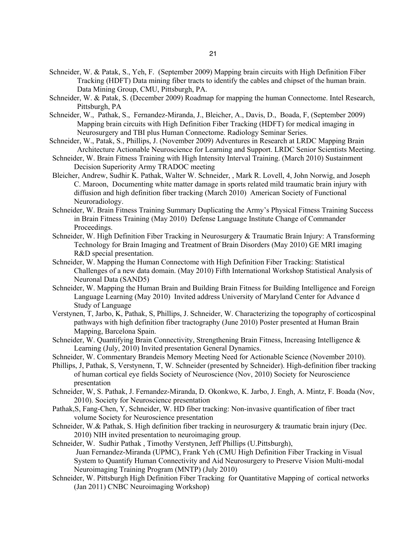- Schneider, W. & Patak, S., Yeh, F. (September 2009) Mapping brain circuits with High Definition Fiber Tracking (HDFT) Data mining fiber tracts to identify the cables and chipset of the human brain. Data Mining Group, CMU, Pittsburgh, PA.
- Schneider, W. & Patak, S. (December 2009) Roadmap for mapping the human Connectome. Intel Research, Pittsburgh, PA
- Schneider, W., Pathak, S., Fernandez-Miranda, J., Bleicher, A., Davis, D., Boada, F, (September 2009) Mapping brain circuits with High Definition Fiber Tracking (HDFT) for medical imaging in Neurosurgery and TBI plus Human Connectome. Radiology Seminar Series.
- Schneider, W., Patak, S., Phillips, J. (November 2009) Adventures in Research at LRDC Mapping Brain Architecture Actionable Neuroscience for Learning and Support. LRDC Senior Scientists Meeting.
- Schneider, W. Brain Fitness Training with High Intensity Interval Training. (March 2010) Sustainment Decision Superiority Army TRADOC meeting
- Bleicher, Andrew, Sudhir K. Pathak, Walter W. Schneider, , Mark R. Lovell, 4, John Norwig, and Joseph C. Maroon, Documenting white matter damage in sports related mild traumatic brain injury with diffusion and high definition fiber tracking (March 2010) American Society of Functional Neuroradiology.
- Schneider, W. Brain Fitness Training Summary Duplicating the Army's Physical Fitness Training Success in Brain Fitness Training (May 2010) Defense Language Institute Change of Commander Proceedings.
- Schneider, W. High Definition Fiber Tracking in Neurosurgery & Traumatic Brain Injury: A Transforming Technology for Brain Imaging and Treatment of Brain Disorders (May 2010) GE MRI imaging R&D special presentation.
- Schneider, W. Mapping the Human Connectome with High Definition Fiber Tracking: Statistical Challenges of a new data domain. (May 2010) Fifth International Workshop Statistical Analysis of Neuronal Data (SAND5)
- Schneider, W. Mapping the Human Brain and Building Brain Fitness for Building Intelligence and Foreign Language Learning (May 2010) Invited address University of Maryland Center for Advance d Study of Language
- Verstynen, T, Jarbo, K, Pathak, S, Phillips, J. Schneider, W. Characterizing the topography of corticospinal pathways with high definition fiber tractography (June 2010) Poster presented at Human Brain Mapping, Barcelona Spain.
- Schneider, W. Quantifying Brain Connectivity, Strengthening Brain Fitness, Increasing Intelligence & Learning (July, 2010) Invited presentation General Dynamics.
- Schneider, W. Commentary Brandeis Memory Meeting Need for Actionable Science (November 2010).
- Phillips, J, Pathak, S, Verstynenn, T, W. Schneider (presented by Schneider). High-definition fiber tracking of human cortical eye fields Society of Neuroscience (Nov, 2010) Society for Neuroscience presentation
- Schneider, W, S. Pathak, J. Fernandez-Miranda, D. Okonkwo, K. Jarbo, J. Engh, A. Mintz, F. Boada (Nov, 2010). Society for Neuroscience presentation
- Pathak,S, Fang-Chen, Y, Schneider, W. HD fiber tracking: Non-invasive quantification of fiber tract volume Society for Neuroscience presentation
- Schneider, W.& Pathak, S. High definition fiber tracking in neurosurgery & traumatic brain injury (Dec. 2010) NIH invited presentation to neuroimaging group.
- Schneider, W. Sudhir Pathak , Timothy Verstynen, Jeff Phillips (U.Pittsburgh), Juan Fernandez-Miranda (UPMC), Frank Yeh (CMU High Definition Fiber Tracking in Visual System to Quantify Human Connectivity and Aid Neurosurgery to Preserve Vision Multi-modal Neuroimaging Training Program (MNTP) (July 2010)
- Schneider, W. Pittsburgh High Definition Fiber Tracking for Quantitative Mapping of cortical networks (Jan 2011) CNBC Neuroimaging Workshop)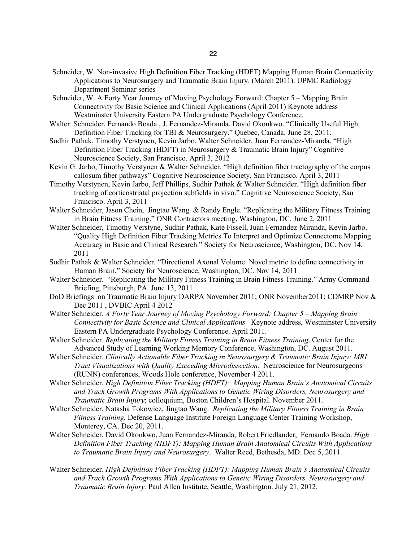- Schneider, W. Non-invasive High Definition Fiber Tracking (HDFT) Mapping Human Brain Connectivity Applications to Neurosurgery and Traumatic Brain Injury. (March 2011). UPMC Radiology Department Seminar series
- Schneider, W. A Forty Year Journey of Moving Psychology Forward: Chapter 5 Mapping Brain Connectivity for Basic Science and Clinical Applications (April 2011) Keynote address Westminster University Eastern PA Undergraduate Psychology Conference.
- Walter Schneider, Fernando Boada , J. Fernandez-Miranda, David Okonkwo. "Clinically Useful High Definition Fiber Tracking for TBI & Neurosurgery." Quebec, Canada. June 28, 2011.
- Sudhir Pathak, Timothy Verstynen, Kevin Jarbo, Walter Schneider, Juan Fernandez-Miranda. "High Definition Fiber Tracking (HDFT) in Neurosurgery & Traumatic Brain Injury" Cognitive Neuroscience Society, San Francisco. April 3, 2012
- Kevin G. Jarbo, Timothy Verstynen & Walter Schneider. "High definition fiber tractography of the corpus callosum fiber pathways" Cognitive Neuroscience Society, San Francisco. April 3, 2011
- Timothy Verstynen, Kevin Jarbo, Jeff Phillips, Sudhir Pathak & Walter Schneider. "High definition fiber tracking of corticostriatal projection subfields in vivo." Cognitive Neuroscience Society, San Francisco. April 3, 2011
- Walter Schneider, Jason Chein, Jingtao Wang & Randy Engle. "Replicating the Military Fitness Training in Brain Fitness Training." ONR Contractors meeting, Washington, DC. June 2, 2011
- Walter Schneider, Timothy Verstyne, Sudhir Pathak, Kate Fissell, Juan Fernandez-Miranda, Kevin Jarbo. "Quality High Definition Fiber Tracking Metrics To Interpret and Optimize Connectome Mapping Accuracy in Basic and Clinical Research." Society for Neuroscience, Washington, DC. Nov 14, 2011
- Sudhir Pathak & Walter Schneider. "Directional Axonal Volume: Novel metric to define connectivity in Human Brain." Society for Neuroscience, Washington, DC. Nov 14, 2011
- Walter Schneider. "Replicating the Military Fitness Training in Brain Fitness Training." Army Command Briefing, Pittsburgh, PA. June 13, 2011
- DoD Briefings on Traumatic Brain Injury DARPA November 2011; ONR November2011; CDMRP Nov & Dec 2011 , DVBIC April 4 2012
- Walter Schneider. *A Forty Year Journey of Moving Psychology Forward: Chapter 5 – Mapping Brain Connectivity for Basic Science and Clinical Applications.* Keynote address, Westminster University Eastern PA Undergraduate Psychology Conference. April 2011.
- Walter Schneider. *Replicating the Military Fitness Training in Brain Fitness Training*. Center for the Advanced Study of Learning Working Memory Conference, Washington, DC. August 2011.
- Walter Schneider. *Clinically Actionable Fiber Tracking in Neurosurgery & Traumatic Brain Injury: MRI Tract Visualizations with Quality Exceeding Microdissection.* Neuroscience for Neurosurgeons (RUNN) conferences, Woods Hole conference, November 4 2011.
- Walter Schneider. *High Definition Fiber Tracking (HDFT): Mapping Human Brain's Anatomical Circuits and Track Growth Programs With Applications to Genetic Wiring Disorders, Neurosurgery and Traumatic Brain Injury*; colloquium, Boston Children's Hospital. November 2011.
- Walter Schneider, Natasha Tokowicz, Jingtao Wang. *Replicating the Military Fitness Training in Brain Fitness Training.* Defense Language Institute Foreign Language Center Training Workshop, Monterey, CA. Dec 20, 2011.
- Walter Schneider, David Okonkwo, Juan Fernandez-Miranda, Robert Friedlander, Fernando Boada. *High Definition Fiber Tracking (HDFT): Mapping Human Brain Anatomical Circuits With Applications to Traumatic Brain Injury and Neurosurgery*. Walter Reed, Bethesda, MD. Dec 5, 2011.
- Walter Schneider. *High Definition Fiber Tracking (HDFT): Mapping Human Brain's Anatomical Circuits and Track Growth Programs With Applications to Genetic Wiring Disorders, Neurosurgery and Traumatic Brain Injury.* Paul Allen Institute, Seattle, Washington. July 21, 2012.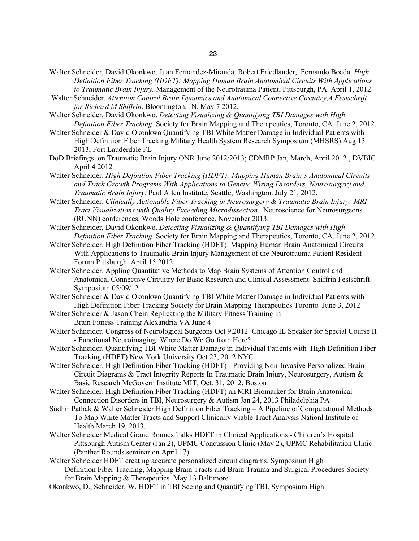- Walter Schneider, David Okonkwo, Juan Fernandez-Miranda, Robert Friedlander, Fernando Boada. *High Definition Fiber Tracking (HDFT): Mapping Human Brain Anatomical Circuits With Applications to Traumatic Brain Injury.* Management of the Neurotrauma Patient, Pittsburgh, PA. April 1, 2012.
- Walter Schneider. *Attention Control Brain Dynamics and Anatomical Connective Circuitry*,*A Festschrift for Richard M Shiffrin*. Bloomington, IN. May 7 2012.
- Walter Schneider, David Okonkwo. *Detecting Visualizing & Quantifying TBI Damages with High Definition Fiber Tracking*. Society for Brain Mapping and Therapeutics, Toronto, CA. June 2, 2012.
- Walter Schneider & David Okonkwo Quantifying TBI White Matter Damage in Individual Patients with High Definition Fiber Tracking Military Health System Research Symposium (MHSRS) Aug 13 2013, Fort Lauderdale FL
- DoD Briefings on Traumatic Brain Injury ONR June 2012/2013; CDMRP Jan, March, April 2012 , DVBIC April 4 2012
- Walter Schneider. *High Definition Fiber Tracking (HDFT): Mapping Human Brain's Anatomical Circuits and Track Growth Programs With Applications to Genetic Wiring Disorders, Neurosurgery and Traumatic Brain Injury.* Paul Allen Institute, Seattle, Washington. July 21, 2012.
- Walter Schneider. *Clinically Actionable Fiber Tracking in Neurosurgery & Traumatic Brain Injury: MRI Tract Visualizations with Quality Exceeding Microdissection.* Neuroscience for Neurosurgeons (RUNN) conferences, Woods Hole conference, November 2013.
- Walter Schneider, David Okonkwo. *Detecting Visualizing & Quantifying TBI Damages with High Definition Fiber Tracking*. Society for Brain Mapping and Therapeutics, Toronto, CA. June 2, 2012.
- Walter Schneider. High Definition Fiber Tracking (HDFT): Mapping Human Brain Anatomical Circuits With Applications to Traumatic Brain Injury Management of the Neurotrauma Patient Resident Forum Pittsburgh April 15 2012.
- Walter Schneider. Appling Quantitative Methods to Map Brain Systems of Attention Control and Anatomical Connective Circuitry for Basic Research and Clinical Assessment. Shiffrin Festschrift Symposium 05/09/12
- Walter Schneider & David Okonkwo Quantifying TBI White Matter Damage in Individual Patients with High Definition Fiber Tracking Society for Brain Mapping Therapeutics Toronto June 3, 2012
- Walter Schneider & Jason Chein Replicating the Military Fitness Training in Brain Fitness Training Alexandria VA June 4
- Walter Schneider. Congress of Neurological Surgeons Oct 9,2012 Chicago IL Speaker for Special Course II - Functional Neuroimaging: Where Do We Go from Here?
- Walter Schneider. Quantifying TBI White Matter Damage in Individual Patients with High Definition Fiber Tracking (HDFT) New York University Oct 23, 2012 NYC
- Walter Schneider. High Definition Fiber Tracking (HDFT) Providing Non-Invasive Personalized Brain Circuit Diagrams & Tract Integrity Reports In Traumatic Brain Injury, Neurosurgery, Autism & Basic Research McGovern Institute MIT, Oct. 31, 2012. Boston
- Walter Schneider. High Definition Fiber Tracking (HDFT) an MRI Biomarker for Brain Anatomical Connection Disorders in TBI, Neurosurgery & Autism Jan 24, 2013 Philadelphia PA
- Sudhir Pathak & Walter Schneider High Definition Fiber Tracking A Pipeline of Computational Methods To Map White Matter Tracts and Support Clinically Viable Tract Analysis Nationl Institute of Health March 19, 2013.
- Walter Schneider Medical Grand Rounds Talks HDFT in Clinical Applications Children's Hospital Pittsburgh Autism Center (Jan 2), UPMC Concussion Clinic (May 2), UPMC Rehabilitation Clinic (Panther Rounds seminar on April 17)
- Walter Schneider HDFT creating accurate personalized circuit diagrams. Symposium High Definition Fiber Tracking, Mapping Brain Tracts and Brain Trauma and Surgical Procedures Society for Brain Mapping & Therapeutics May 13 Baltimore
- Okonkwo, D., Schneider, W. HDFT in TBI Seeing and Quantifying TBI. Symposium High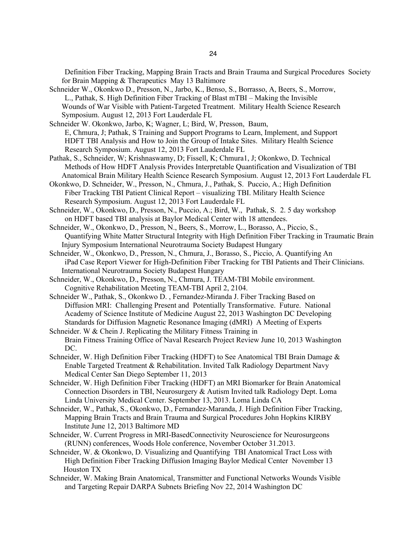Definition Fiber Tracking, Mapping Brain Tracts and Brain Trauma and Surgical Procedures Society for Brain Mapping & Therapeutics May 13 Baltimore

- Schneider W., Okonkwo D., Presson, N., Jarbo, K., Benso, S., Borrasso, A, Beers, S., Morrow, L., Pathak, S. High Definition Fiber Tracking of Blast mTBI – Making the Invisible Wounds of War Visible with Patient-Targeted Treatment. Military Health Science Research Symposium. August 12, 2013 Fort Lauderdale FL
- Schneider W. Okonkwo, Jarbo, K; Wagner, L; Bird, W, Presson, Baum, E, Chmura, J; Pathak, S Training and Support Programs to Learn, Implement, and Support HDFT TBI Analysis and How to Join the Group of Intake Sites. Military Health Science Research Symposium. August 12, 2013 Fort Lauderdale FL
- Pathak, S., Schneider, W; Krishnaswamy, D; Fissell, K; Chmura1, J; Okonkwo, D. Technical Methods of How HDFT Analysis Provides Interpretable Quantification and Visualization of TBI Anatomical Brain Military Health Science Research Symposium. August 12, 2013 Fort Lauderdale FL
- Okonkwo, D. Schneider, W., Presson, N., Chmura, J., Pathak, S. Puccio, A.; High Definition Fiber Tracking TBI Patient Clinical Report – visualizing TBI. Military Health Science Research Symposium. August 12, 2013 Fort Lauderdale FL
- Schneider, W., Okonkwo, D., Presson, N., Puccio, A.; Bird, W., Pathak, S. 2. 5 day workshop on HDFT based TBI analysis at Baylor Medical Center with 18 attendees.
- Schneider, W., Okonkwo, D., Presson, N., Beers, S., Morrow, L., Borasso, A., Piccio, S., Quantifying White Matter Structural Integrity with High Definition Fiber Tracking in Traumatic Brain Injury Symposium International Neurotrauma Society Budapest Hungary
- Schneider, W., Okonkwo, D., Presson, N., Chmura, J., Borasso, S., Piccio, A. Quantifying An iPad Case Report Viewer for High-Definition Fiber Tracking for TBI Patients and Their Clinicians. International Neurotrauma Society Budapest Hungary
- Schneider, W., Okonkwo, D., Presson, N., Chmura, J. TEAM-TBI Mobile environment. Cognitive Rehabilitation Meeting TEAM-TBI April 2, 2104.
- Schneider W., Pathak, S., Okonkwo D. , Fernandez-Miranda J. Fiber Tracking Based on Diffusion MRI: Challenging Present and Potentially Transformative. Future. National Academy of Science Institute of Medicine August 22, 2013 Washington DC Developing Standards for Diffusion Magnetic Resonance Imaging (dMRI) A Meeting of Experts
- Schneider. W & Chein J. Replicating the Military Fitness Training in Brain Fitness Training Office of Naval Research Project Review June 10, 2013 Washington DC.
- Schneider, W. High Definition Fiber Tracking (HDFT) to See Anatomical TBI Brain Damage & Enable Targeted Treatment & Rehabilitation. Invited Talk Radiology Department Navy Medical Center San Diego September 11, 2013
- Schneider, W. High Definition Fiber Tracking (HDFT) an MRI Biomarker for Brain Anatomical Connection Disorders in TBI, Neurosurgery & Autism Invited talk Radiology Dept. Loma Linda University Medical Center. September 13, 2013. Loma Linda CA
- Schneider, W., Pathak, S., Okonkwo, D., Fernandez-Maranda, J. High Definition Fiber Tracking, Mapping Brain Tracts and Brain Trauma and Surgical Procedures John Hopkins KIRBY Institute June 12, 2013 Baltimore MD
- Schneider, W. Current Progress in MRI-BasedConnectivity Neuroscience for Neurosurgeons (RUNN) conferences, Woods Hole conference, November October 31.2013.
- Schneider, W. & Okonkwo, D. Visualizing and Quantifying TBI Anatomical Tract Loss with High Definition Fiber Tracking Diffusion Imaging Baylor Medical Center November 13 Houston TX
- Schneider, W. Making Brain Anatomical, Transmitter and Functional Networks Wounds Visible and Targeting Repair DARPA Subnets Briefing Nov 22, 2014 Washington DC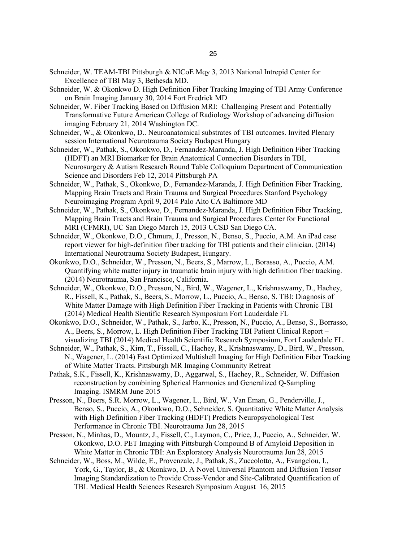- Schneider, W. TEAM-TBI Pittsburgh & NICoE Mqy 3, 2013 National Intrepid Center for Excellence of TBI May 3, Bethesda MD.
- Schneider, W. & Okonkwo D. High Definition Fiber Tracking Imaging of TBI Army Conference on Brain Imaging January 30, 2014 Fort Fredrick MD
- Schneider, W. Fiber Tracking Based on Diffusion MRI: Challenging Present and Potentially Transformative Future American College of Radiology Workshop of advancing diffusion imaging February 21, 2014 Washington DC.
- Schneider, W., & Okonkwo, D.. Neuroanatomical substrates of TBI outcomes. Invited Plenary session International Neurotrauma Society Budapest Hungary
- Schneider, W., Pathak, S., Okonkwo, D., Fernandez-Maranda, J. High Definition Fiber Tracking (HDFT) an MRI Biomarker for Brain Anatomical Connection Disorders in TBI, Neurosurgery & Autism Research Round Table Colloquium Department of Communication Science and Disorders Feb 12, 2014 Pittsburgh PA
- Schneider, W., Pathak, S., Okonkwo, D., Fernandez-Maranda, J. High Definition Fiber Tracking, Mapping Brain Tracts and Brain Trauma and Surgical Procedures Stanford Psychology Neuroimaging Program April 9, 2014 Palo Alto CA Baltimore MD
- Schneider, W., Pathak, S., Okonkwo, D., Fernandez-Maranda, J. High Definition Fiber Tracking, Mapping Brain Tracts and Brain Trauma and Surgical Procedures Center for Functional MRI (CFMRI), UC San Diego March 15, 2013 UCSD San Diego CA.
- Schneider, W., Okonkwo, D.O., Chmura, J., Presson, N., Benso, S., Puccio, A.M. An iPad case report viewer for high-definition fiber tracking for TBI patients and their clinician. (2014) International Neurotrauma Society Budapest, Hungary.
- Okonkwo, D.O., Schneider, W., Presson, N., Beers, S., Marrow, L., Borasso, A., Puccio, A.M. Quantifying white matter injury in traumatic brain injury with high definition fiber tracking. (2014) Neurotrauma, San Francisco, California.
- Schneider, W., Okonkwo, D.O., Presson, N., Bird, W., Wagener, L., Krishnaswamy, D., Hachey, R., Fissell, K., Pathak, S., Beers, S., Morrow, L., Puccio, A., Benso, S. TBI: Diagnosis of White Matter Damage with High Definition Fiber Tracking in Patients with Chronic TBI (2014) Medical Health Sientific Research Symposium Fort Lauderdale FL
- Okonkwo, D.O., Schneider, W., Pathak, S., Jarbo, K., Presson, N., Puccio, A., Benso, S., Borrasso, A., Beers, S., Morrow, L. High Definition Fiber Tracking TBI Patient Clinical Report – visualizing TBI (2014) Medical Health Scientific Research Symposium, Fort Lauderdale FL.
- Schneider, W., Pathak, S., Kim, T., Fissell, C., Hachey, R., Krishnaswamy, D., Bird, W., Presson, N., Wagener, L. (2014) Fast Optimized Multishell Imaging for High Definition Fiber Tracking of White Matter Tracts. Pittsburgh MR Imaging Community Retreat
- Pathak, S.K., Fissell, K., Krishnaswamy, D., Aggarwal, S., Hachey, R., Schneider, W. Diffusion reconstruction by combining Spherical Harmonics and Generalized Q-Sampling Imaging. ISMRM June 2015
- Presson, N., Beers, S.R. Morrow, L., Wagener, L., Bird, W., Van Eman, G., Penderville, J., Benso, S., Puccio, A., Okonkwo, D.O., Schneider, S. Quantitative White Matter Analysis with High Definition Fiber Tracking (HDFT) Predicts Neuropsychological Test Performance in Chronic TBI. Neurotrauma Jun 28, 2015
- Presson, N., Minhas, D., Mountz, J., Fissell, C., Laymon, C., Price, J., Puccio, A., Schneider, W. Okonkwo, D.O. PET Imaging with Pittsburgh Compound B of Amyloid Deposition in White Matter in Chronic TBI: An Exploratory Analysis Neurotrauma Jun 28, 2015
- Schneider, W., Boss, M., Wilde, E., Provenzale, J., Pathak, S., Zuccolotto, A., Evangelou, I., York, G., Taylor, B., & Okonkwo, D. A Novel Universal Phantom and Diffusion Tensor Imaging Standardization to Provide Cross-Vendor and Site-Calibrated Quantification of TBI. Medical Health Sciences Research Symposium August 16, 2015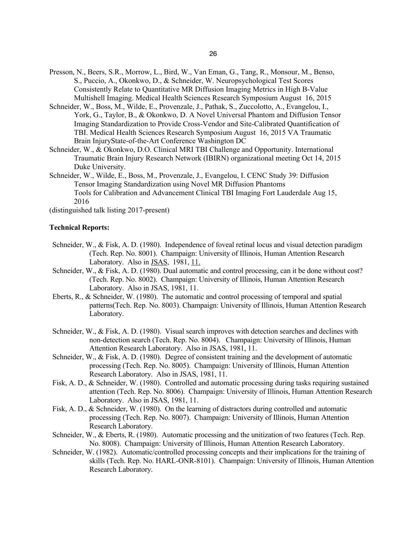- Presson, N., Beers, S.R., Morrow, L., Bird, W., Van Eman, G., Tang, R., Monsour, M., Benso, S., Puccio, A., Okonkwo, D., & Schneider, W. Neuropsychological Test Scores Consistently Relate to Quantitative MR Diffusion Imaging Metrics in High B-Value Multishell Imaging. Medical Health Sciences Research Symposium August 16, 2015
- Schneider, W., Boss, M., Wilde, E., Provenzale, J., Pathak, S., Zuccolotto, A., Evangelou, I., York, G., Taylor, B., & Okonkwo, D. A Novel Universal Phantom and Diffusion Tensor Imaging Standardization to Provide Cross-Vendor and Site-Calibrated Quantification of TBI. Medical Health Sciences Research Symposium August 16, 2015 VA Traumatic Brain InjuryState-of-the-Art Conference Washington DC
- Schneider, W., & Okonkwo, D.O. Clinical MRI TBI Challenge and Opportunity. International Traumatic Brain Injury Research Network (IBIRN) organizational meeting Oct 14, 2015 Duke University.
- Schneider, W., Wilde, E., Boss, M., Provenzale, J., Evangelou, I. CENC Study 39: Diffusion Tensor Imaging Standardization using Novel MR Diffusion Phantoms Tools for Calibration and Advancement Clinical TBI Imaging Fort Lauderdale Aug 15, 2016

(distinguished talk listing 2017-present)

## **Technical Reports:**

- Schneider, W., & Fisk, A. D. (1980). Independence of foveal retinal locus and visual detection paradigm (Tech. Rep. No. 8001). Champaign: University of Illinois, Human Attention Research Laboratory. Also in JSAS, 1981, 11.
- Schneider, W., & Fisk, A. D. (1980). Dual automatic and control processing, can it be done without cost? (Tech. Rep. No. 8002). Champaign: University of Illinois, Human Attention Research Laboratory. Also in JSAS, 1981, 11.
- Eberts, R., & Schneider, W. (1980). The automatic and control processing of temporal and spatial patterns(Tech. Rep. No. 8003). Champaign: University of Illinois, Human Attention Research Laboratory.
- Schneider, W., & Fisk, A. D. (1980). Visual search improves with detection searches and declines with non-detection search (Tech. Rep. No. 8004). Champaign: University of Illinois, Human Attention Research Laboratory. Also in JSAS, 1981, 11.
- Schneider, W., & Fisk, A. D. (1980). Degree of consistent training and the development of automatic processing (Tech. Rep. No. 8005). Champaign: University of Illinois, Human Attention Research Laboratory. Also in JSAS, 1981, 11.
- Fisk, A. D., & Schneider, W. (1980). Controlled and automatic processing during tasks requiring sustained attention (Tech. Rep. No. 8006). Champaign: University of Illinois, Human Attention Research Laboratory. Also in JSAS, 1981, 11.
- Fisk, A. D., & Schneider, W. (1980). On the learning of distractors during controlled and automatic processing (Tech. Rep. No. 8007). Champaign: University of Illinois, Human Attention Research Laboratory.
- Schneider, W., & Eberts, R. (1980). Automatic processing and the unitization of two features (Tech. Rep. No. 8008). Champaign: University of Illinois, Human Attention Research Laboratory.
- Schneider, W. (1982). Automatic/controlled processing concepts and their implications for the training of skills (Tech. Rep. No. HARL-ONR-8101). Champaign: University of Illinois, Human Attention Research Laboratory.